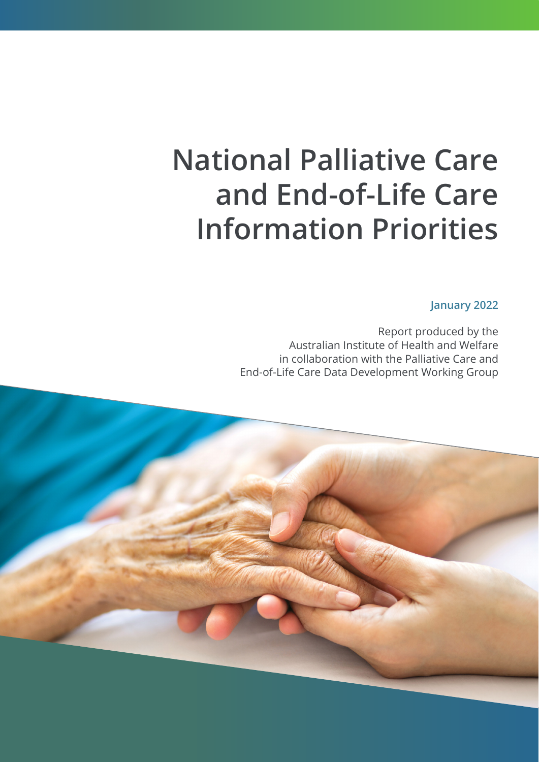# **National Palliative Care and End-of-Life Care Information Priorities**

**January 2022**

Report produced by the Australian Institute of Health and Welfare in collaboration with the Palliative Care and End-of-Life Care Data Development Working Group

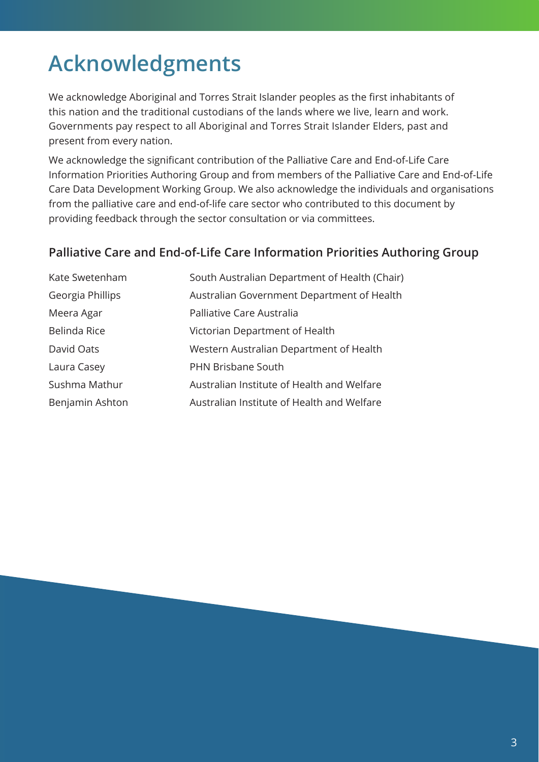## <span id="page-2-0"></span>**Acknowledgments**

We acknowledge Aboriginal and Torres Strait Islander peoples as the first inhabitants of this nation and the traditional custodians of the lands where we live, learn and work. Governments pay respect to all Aboriginal and Torres Strait Islander Elders, past and present from every nation.

We acknowledge the significant contribution of the Palliative Care and End-of-Life Care Information Priorities Authoring Group and from members of the Palliative Care and End-of-Life Care Data Development Working Group. We also acknowledge the individuals and organisations from the palliative care and end-of-life care sector who contributed to this document by providing feedback through the sector consultation or via committees.

### **Palliative Care and End-of-Life Care Information Priorities Authoring Group**

| Kate Swetenham   | South Australian Department of Health (Chair) |
|------------------|-----------------------------------------------|
| Georgia Phillips | Australian Government Department of Health    |
| Meera Agar       | Palliative Care Australia                     |
| Belinda Rice     | Victorian Department of Health                |
| David Oats       | Western Australian Department of Health       |
| Laura Casey      | PHN Brisbane South                            |
| Sushma Mathur    | Australian Institute of Health and Welfare    |
| Benjamin Ashton  | Australian Institute of Health and Welfare    |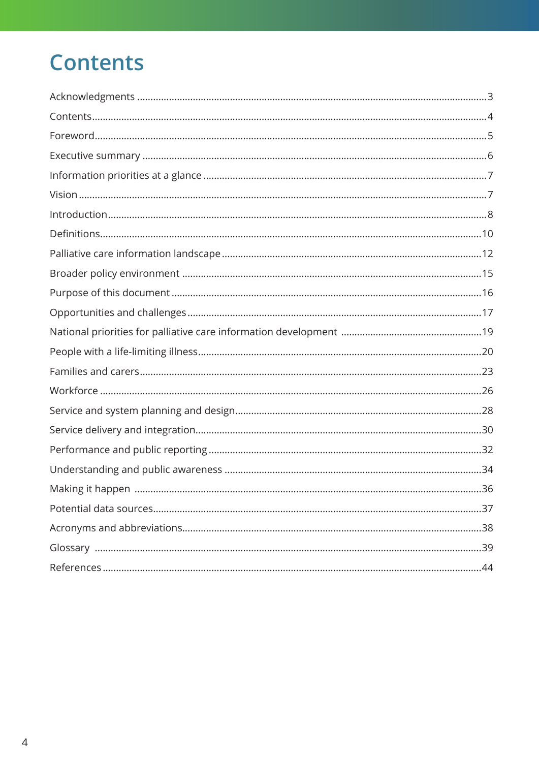### **Contents**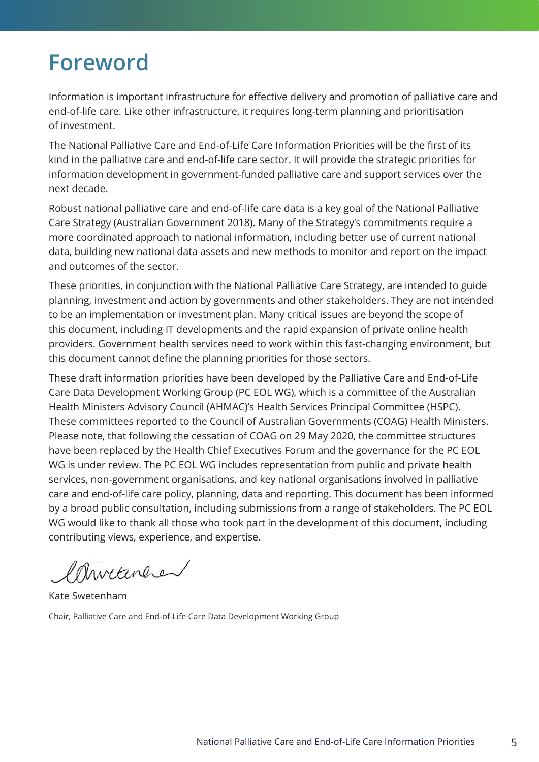### <span id="page-4-0"></span>**Foreword**

Information is important infrastructure for effective delivery and promotion of palliative care and end-of-life care. Like other infrastructure, it requires long-term planning and prioritisation of investment.

The National Palliative Care and End-of-Life Care Information Priorities will be the first of its kind in the palliative care and end-of-life care sector. It will provide the strategic priorities for information development in government-funded palliative care and support services over the next decade.

Robust national palliative care and end-of-life care data is a key goal of the National Palliative Care Strategy (Australian Government 2018). Many of the Strategy's commitments require a more coordinated approach to national information, including better use of current national data, building new national data assets and new methods to monitor and report on the impact and outcomes of the sector.

These priorities, in conjunction with the National Palliative Care Strategy, are intended to guide planning, investment and action by governments and other stakeholders. They are not intended to be an implementation or investment plan. Many critical issues are beyond the scope of this document, including IT developments and the rapid expansion of private online health providers. Government health services need to work within this fast-changing environment, but this document cannot define the planning priorities for those sectors.

These draft information priorities have been developed by the Palliative Care and End-of-Life Care Data Development Working Group (PC EOL WG), which is a committee of the Australian Health Ministers Advisory Council (AHMAC)'s Health Services Principal Committee (HSPC). These committees reported to the Council of Australian Governments (COAG) Health Ministers. Please note, that following the cessation of COAG on 29 May 2020, the committee structures have been replaced by the Health Chief Executives Forum and the governance for the PC EOL WG is under review. The PC EOL WG includes representation from public and private health services, non-government organisations, and key national organisations involved in palliative care and end-of-life care policy, planning, data and reporting. This document has been informed by a broad public consultation, including submissions from a range of stakeholders. The PC EOL WG would like to thank all those who took part in the development of this document, including contributing views, experience, and expertise.

Christance

Kate Swetenham Chair, Palliative Care and End-of-Life Care Data Development Working Group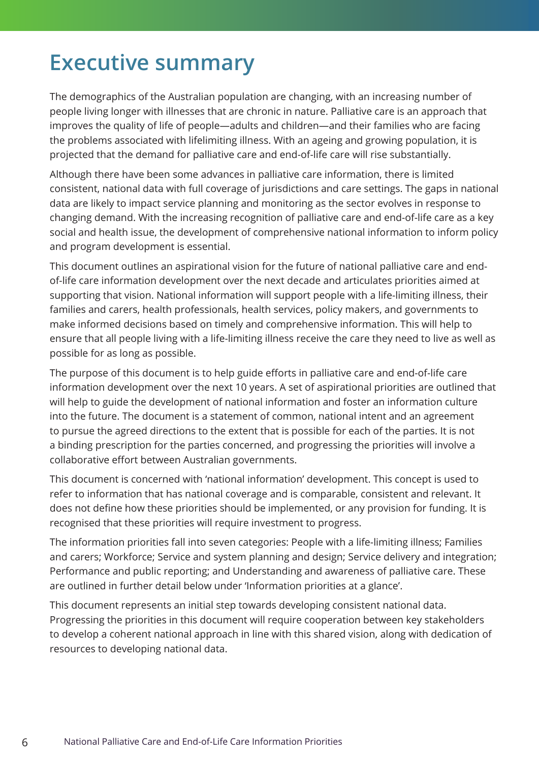### <span id="page-5-0"></span>**Executive summary**

The demographics of the Australian population are changing, with an increasing number of people living longer with illnesses that are chronic in nature. Palliative care is an approach that improves the quality of life of people—adults and children—and their families who are facing the problems associated with lifelimiting illness. With an ageing and growing population, it is projected that the demand for palliative care and end-of-life care will rise substantially.

Although there have been some advances in palliative care information, there is limited consistent, national data with full coverage of jurisdictions and care settings. The gaps in national data are likely to impact service planning and monitoring as the sector evolves in response to changing demand. With the increasing recognition of palliative care and end-of-life care as a key social and health issue, the development of comprehensive national information to inform policy and program development is essential.

This document outlines an aspirational vision for the future of national palliative care and endof-life care information development over the next decade and articulates priorities aimed at supporting that vision. National information will support people with a life-limiting illness, their families and carers, health professionals, health services, policy makers, and governments to make informed decisions based on timely and comprehensive information. This will help to ensure that all people living with a life-limiting illness receive the care they need to live as well as possible for as long as possible.

The purpose of this document is to help guide efforts in palliative care and end-of-life care information development over the next 10 years. A set of aspirational priorities are outlined that will help to guide the development of national information and foster an information culture into the future. The document is a statement of common, national intent and an agreement to pursue the agreed directions to the extent that is possible for each of the parties. It is not a binding prescription for the parties concerned, and progressing the priorities will involve a collaborative effort between Australian governments.

This document is concerned with 'national information' development. This concept is used to refer to information that has national coverage and is comparable, consistent and relevant. It does not define how these priorities should be implemented, or any provision for funding. It is recognised that these priorities will require investment to progress.

The information priorities fall into seven categories: People with a life-limiting illness; Families and carers; Workforce; Service and system planning and design; Service delivery and integration; Performance and public reporting; and Understanding and awareness of palliative care. These are outlined in further detail below under 'Information priorities at a glance'.

This document represents an initial step towards developing consistent national data. Progressing the priorities in this document will require cooperation between key stakeholders to develop a coherent national approach in line with this shared vision, along with dedication of resources to developing national data.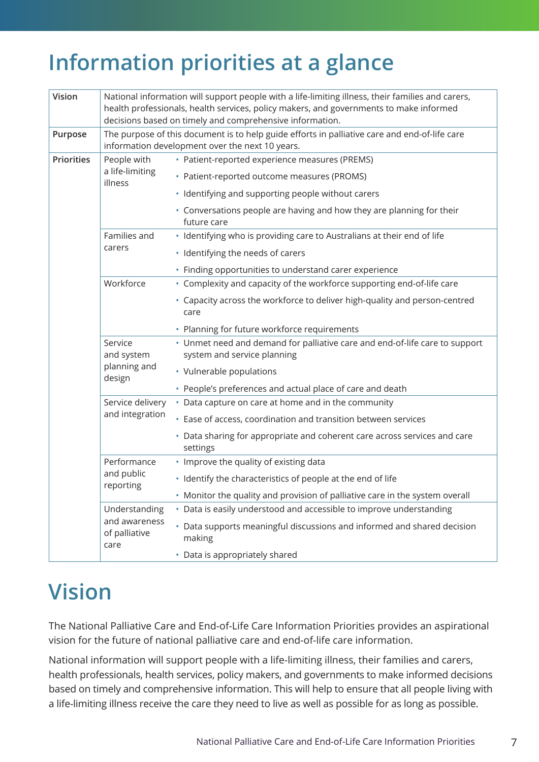### <span id="page-6-0"></span>**Information priorities at a glance**

| Vision            |                                                         | National information will support people with a life-limiting illness, their families and carers,<br>health professionals, health services, policy makers, and governments to make informed<br>decisions based on timely and comprehensive information. |
|-------------------|---------------------------------------------------------|---------------------------------------------------------------------------------------------------------------------------------------------------------------------------------------------------------------------------------------------------------|
| Purpose           |                                                         | The purpose of this document is to help guide efforts in palliative care and end-of-life care<br>information development over the next 10 years.                                                                                                        |
| <b>Priorities</b> | People with                                             | · Patient-reported experience measures (PREMS)                                                                                                                                                                                                          |
|                   | a life-limiting<br>illness                              | • Patient-reported outcome measures (PROMS)                                                                                                                                                                                                             |
|                   |                                                         | · Identifying and supporting people without carers                                                                                                                                                                                                      |
|                   |                                                         | • Conversations people are having and how they are planning for their<br>future care                                                                                                                                                                    |
|                   | Families and                                            | · Identifying who is providing care to Australians at their end of life                                                                                                                                                                                 |
|                   | carers                                                  | · Identifying the needs of carers                                                                                                                                                                                                                       |
|                   |                                                         | • Finding opportunities to understand carer experience                                                                                                                                                                                                  |
|                   | Workforce                                               | • Complexity and capacity of the workforce supporting end-of-life care                                                                                                                                                                                  |
|                   |                                                         | • Capacity across the workforce to deliver high-quality and person-centred<br>care                                                                                                                                                                      |
|                   |                                                         | • Planning for future workforce requirements                                                                                                                                                                                                            |
|                   | Service<br>and system                                   | • Unmet need and demand for palliative care and end-of-life care to support<br>system and service planning                                                                                                                                              |
|                   | planning and<br>design                                  | • Vulnerable populations                                                                                                                                                                                                                                |
|                   |                                                         | • People's preferences and actual place of care and death                                                                                                                                                                                               |
|                   | Service delivery<br>and integration                     | • Data capture on care at home and in the community                                                                                                                                                                                                     |
|                   |                                                         | • Ease of access, coordination and transition between services                                                                                                                                                                                          |
|                   |                                                         | • Data sharing for appropriate and coherent care across services and care<br>settings                                                                                                                                                                   |
|                   | Performance<br>and public<br>reporting                  | • Improve the quality of existing data                                                                                                                                                                                                                  |
|                   |                                                         | · Identify the characteristics of people at the end of life                                                                                                                                                                                             |
|                   |                                                         | • Monitor the quality and provision of palliative care in the system overall                                                                                                                                                                            |
|                   | Understanding<br>and awareness<br>of palliative<br>care | • Data is easily understood and accessible to improve understanding                                                                                                                                                                                     |
|                   |                                                         | • Data supports meaningful discussions and informed and shared decision<br>making                                                                                                                                                                       |
|                   |                                                         | • Data is appropriately shared                                                                                                                                                                                                                          |

### **Vision**

The National Palliative Care and End-of-Life Care Information Priorities provides an aspirational vision for the future of national palliative care and end-of-life care information.

National information will support people with a life-limiting illness, their families and carers, health professionals, health services, policy makers, and governments to make informed decisions based on timely and comprehensive information. This will help to ensure that all people living with a life-limiting illness receive the care they need to live as well as possible for as long as possible.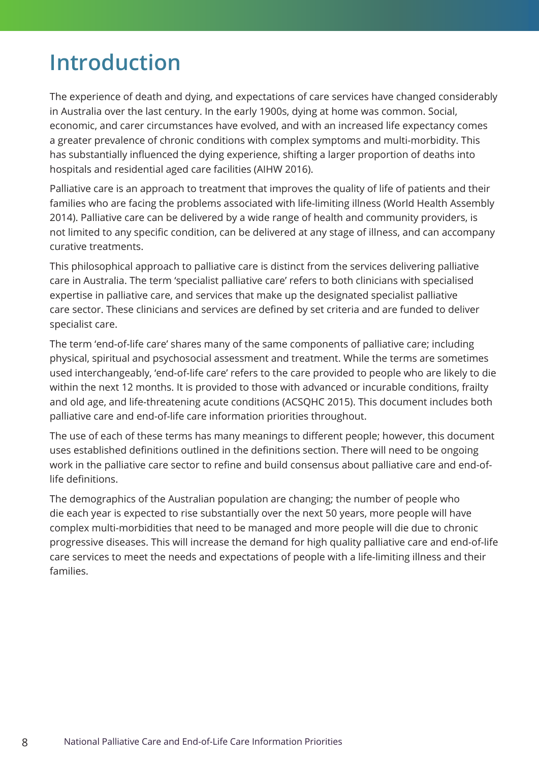### <span id="page-7-0"></span>**Introduction**

The experience of death and dying, and expectations of care services have changed considerably in Australia over the last century. In the early 1900s, dying at home was common. Social, economic, and carer circumstances have evolved, and with an increased life expectancy comes a greater prevalence of chronic conditions with complex symptoms and multi-morbidity. This has substantially influenced the dying experience, shifting a larger proportion of deaths into hospitals and residential aged care facilities (AIHW 2016).

Palliative care is an approach to treatment that improves the quality of life of patients and their families who are facing the problems associated with life-limiting illness (World Health Assembly 2014). Palliative care can be delivered by a wide range of health and community providers, is not limited to any specific condition, can be delivered at any stage of illness, and can accompany curative treatments.

This philosophical approach to palliative care is distinct from the services delivering palliative care in Australia. The term 'specialist palliative care' refers to both clinicians with specialised expertise in palliative care, and services that make up the designated specialist palliative care sector. These clinicians and services are defined by set criteria and are funded to deliver specialist care.

The term 'end-of-life care' shares many of the same components of palliative care; including physical, spiritual and psychosocial assessment and treatment. While the terms are sometimes used interchangeably, 'end-of-life care' refers to the care provided to people who are likely to die within the next 12 months. It is provided to those with advanced or incurable conditions, frailty and old age, and life-threatening acute conditions (ACSQHC 2015). This document includes both palliative care and end-of-life care information priorities throughout.

The use of each of these terms has many meanings to different people; however, this document uses established definitions outlined in the definitions section. There will need to be ongoing work in the palliative care sector to refine and build consensus about palliative care and end-oflife definitions.

The demographics of the Australian population are changing; the number of people who die each year is expected to rise substantially over the next 50 years, more people will have complex multi-morbidities that need to be managed and more people will die due to chronic progressive diseases. This will increase the demand for high quality palliative care and end-of-life care services to meet the needs and expectations of people with a life-limiting illness and their families.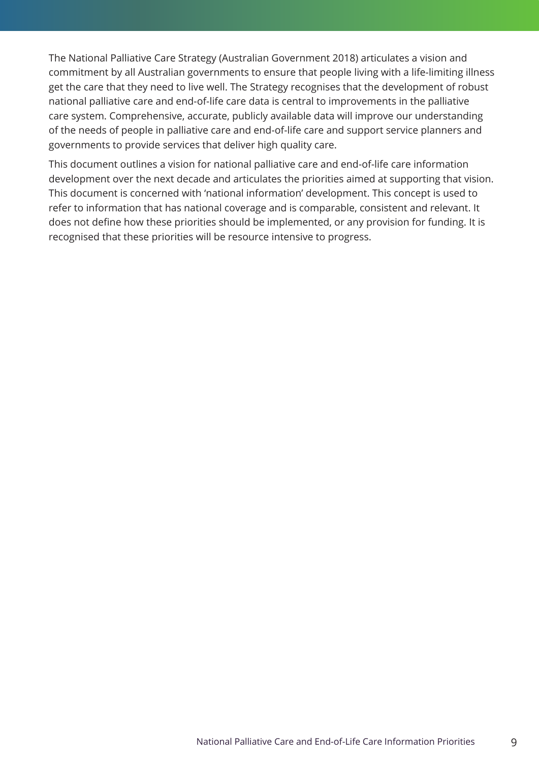The National Palliative Care Strategy (Australian Government 2018) articulates a vision and commitment by all Australian governments to ensure that people living with a life-limiting illness get the care that they need to live well. The Strategy recognises that the development of robust national palliative care and end-of-life care data is central to improvements in the palliative care system. Comprehensive, accurate, publicly available data will improve our understanding of the needs of people in palliative care and end-of-life care and support service planners and governments to provide services that deliver high quality care.

This document outlines a vision for national palliative care and end-of-life care information development over the next decade and articulates the priorities aimed at supporting that vision. This document is concerned with 'national information' development. This concept is used to refer to information that has national coverage and is comparable, consistent and relevant. It does not define how these priorities should be implemented, or any provision for funding. It is recognised that these priorities will be resource intensive to progress.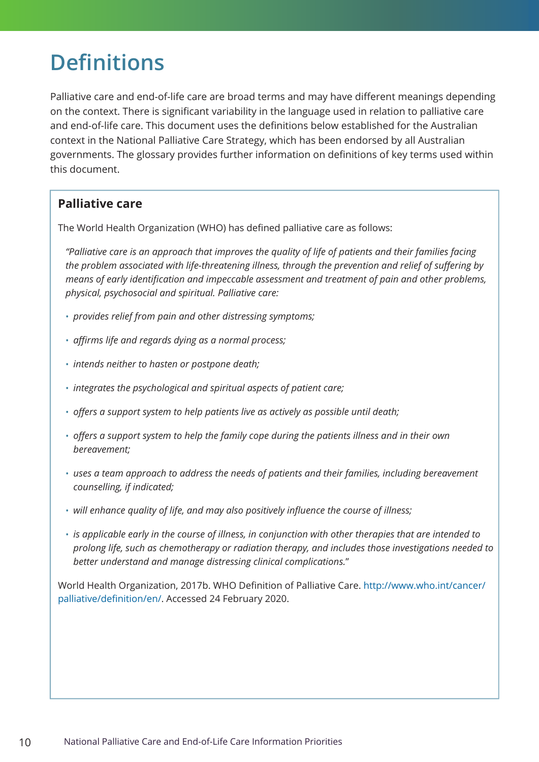### <span id="page-9-0"></span>**Definitions**

Palliative care and end-of-life care are broad terms and may have different meanings depending on the context. There is significant variability in the language used in relation to palliative care and end-of-life care. This document uses the definitions below established for the Australian context in the National Palliative Care Strategy, which has been endorsed by all Australian governments. The glossary provides further information on definitions of key terms used within this document.

### **Palliative care**

The World Health Organization (WHO) has defined palliative care as follows:

*"Palliative care is an approach that improves the quality of life of patients and their families facing the problem associated with life-threatening illness, through the prevention and relief of suffering by means of early identification and impeccable assessment and treatment of pain and other problems, physical, psychosocial and spiritual. Palliative care:*

- *provides relief from pain and other distressing symptoms;*
- *affirms life and regards dying as a normal process;*
- *intends neither to hasten or postpone death;*
- *integrates the psychological and spiritual aspects of patient care;*
- *offers a support system to help patients live as actively as possible until death;*
- *offers a support system to help the family cope during the patients illness and in their own bereavement;*
- *uses a team approach to address the needs of patients and their families, including bereavement counselling, if indicated;*
- *will enhance quality of life, and may also positively influence the course of illness;*
- *is applicable early in the course of illness, in conjunction with other therapies that are intended to prolong life, such as chemotherapy or radiation therapy, and includes those investigations needed to better understand and manage distressing clinical complications.*"

[World Health Organization, 2017b. WHO Definition of Palliative Care.](http://www.who.int/cancer/palliative/definition/en/) http://www.who.int/cancer/ palliative/definition/en/[. Accessed 24 February 2020.](http://www.who.int/cancer/palliative/definition/en/)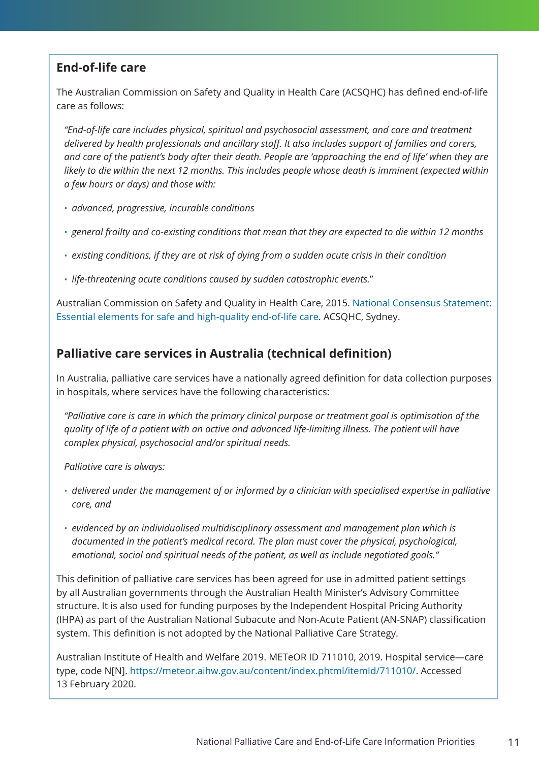### **End-of-life care**

The Australian Commission on Safety and Quality in Health Care (ACSQHC) has defined end-of-life care as follows:

*"End-of-life care includes physical, spiritual and psychosocial assessment, and care and treatment delivered by health professionals and ancillary staff. It also includes support of families and carers, and care of the patient's body after their death. People are 'approaching the end of life' when they are likely to die within the next 12 months. This includes people whose death is imminent (expected within a few hours or days) and those with:*

- *advanced, progressive, incurable conditions*
- *general frailty and co-existing conditions that mean that they are expected to die within 12 months*
- *existing conditions, if they are at risk of dying from a sudden acute crisis in their condition*
- *life-threatening acute conditions caused by sudden catastrophic events.*"

Australian Commission on Safety and Quality in Health Care, 2015. [National Consensus Statement:](https://www.safetyandquality.gov.au/publications-and-resources/resource-library/national-consensus-statement-essential-elements-safe-and-high-quality-end-life-care)  [Essential elements for safe and high-quality end-of-life care.](https://www.safetyandquality.gov.au/publications-and-resources/resource-library/national-consensus-statement-essential-elements-safe-and-high-quality-end-life-care) ACSQHC, Sydney.

### **Palliative care services in Australia (technical definition)**

In Australia, palliative care services have a nationally agreed definition for data collection purposes in hospitals, where services have the following characteristics:

*"Palliative care is care in which the primary clinical purpose or treatment goal is optimisation of the quality of life of a patient with an active and advanced life-limiting illness. The patient will have complex physical, psychosocial and/or spiritual needs.*

*Palliative care is always:*

- *delivered under the management of or informed by a clinician with specialised expertise in palliative care, and*
- *evidenced by an individualised multidisciplinary assessment and management plan which is documented in the patient's medical record. The plan must cover the physical, psychological, emotional, social and spiritual needs of the patient, as well as include negotiated goals."*

This definition of palliative care services has been agreed for use in admitted patient settings by all Australian governments through the Australian Health Minister's Advisory Committee structure. It is also used for funding purposes by the Independent Hospital Pricing Authority (IHPA) as part of the Australian National Subacute and Non-Acute Patient (AN-SNAP) classification system. This definition is not adopted by the National Palliative Care Strategy.

Australian Institute of Health and Welfare 2019. METeOR ID 711010, 2019. Hospital service—care type, code N[N]. <https://meteor.aihw.gov.au/content/index.phtml/itemId/711010/>. Accessed 13 February 2020.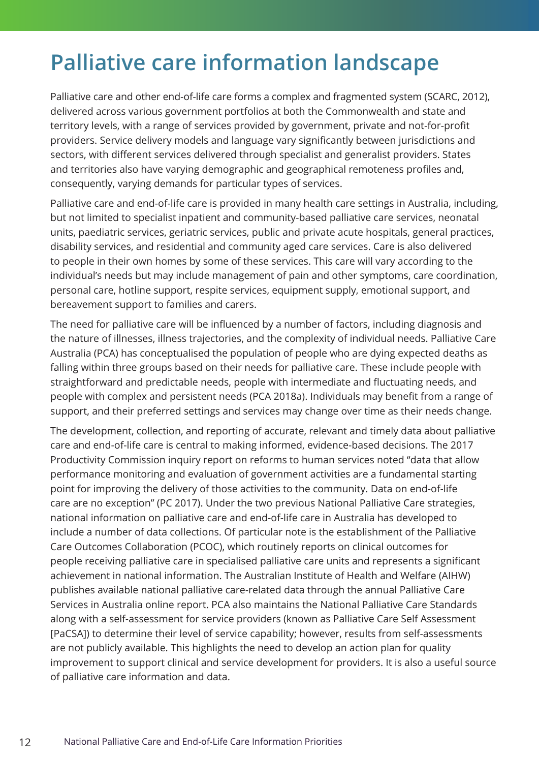### <span id="page-11-0"></span>**Palliative care information landscape**

Palliative care and other end-of-life care forms a complex and fragmented system (SCARC, 2012), delivered across various government portfolios at both the Commonwealth and state and territory levels, with a range of services provided by government, private and not-for-profit providers. Service delivery models and language vary significantly between jurisdictions and sectors, with different services delivered through specialist and generalist providers. States and territories also have varying demographic and geographical remoteness profiles and, consequently, varying demands for particular types of services.

Palliative care and end-of-life care is provided in many health care settings in Australia, including, but not limited to specialist inpatient and community-based palliative care services, neonatal units, paediatric services, geriatric services, public and private acute hospitals, general practices, disability services, and residential and community aged care services. Care is also delivered to people in their own homes by some of these services. This care will vary according to the individual's needs but may include management of pain and other symptoms, care coordination, personal care, hotline support, respite services, equipment supply, emotional support, and bereavement support to families and carers.

The need for palliative care will be influenced by a number of factors, including diagnosis and the nature of illnesses, illness trajectories, and the complexity of individual needs. Palliative Care Australia (PCA) has conceptualised the population of people who are dying expected deaths as falling within three groups based on their needs for palliative care. These include people with straightforward and predictable needs, people with intermediate and fluctuating needs, and people with complex and persistent needs (PCA 2018a). Individuals may benefit from a range of support, and their preferred settings and services may change over time as their needs change.

The development, collection, and reporting of accurate, relevant and timely data about palliative care and end-of-life care is central to making informed, evidence-based decisions. The 2017 Productivity Commission inquiry report on reforms to human services noted "data that allow performance monitoring and evaluation of government activities are a fundamental starting point for improving the delivery of those activities to the community. Data on end-of-life care are no exception" (PC 2017). Under the two previous National Palliative Care strategies, national information on palliative care and end-of-life care in Australia has developed to include a number of data collections. Of particular note is the establishment of the Palliative Care Outcomes Collaboration (PCOC), which routinely reports on clinical outcomes for people receiving palliative care in specialised palliative care units and represents a significant achievement in national information. The Australian Institute of Health and Welfare (AIHW) publishes available national palliative care-related data through the annual Palliative Care Services in Australia online report. PCA also maintains the National Palliative Care Standards along with a self-assessment for service providers (known as Palliative Care Self Assessment [PaCSA]) to determine their level of service capability; however, results from self-assessments are not publicly available. This highlights the need to develop an action plan for quality improvement to support clinical and service development for providers. It is also a useful source of palliative care information and data.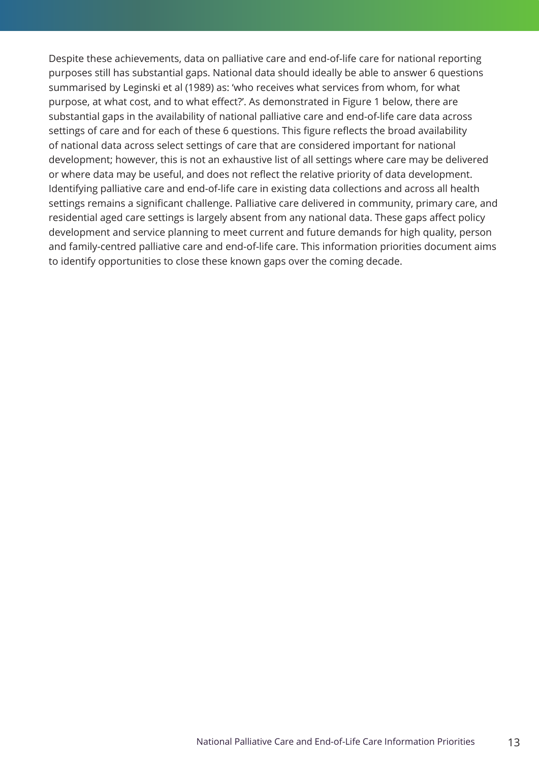Despite these achievements, data on palliative care and end-of-life care for national reporting purposes still has substantial gaps. National data should ideally be able to answer 6 questions summarised by Leginski et al (1989) as: 'who receives what services from whom, for what purpose, at what cost, and to what effect?'. As demonstrated in Figure 1 below, there are substantial gaps in the availability of national palliative care and end-of-life care data across settings of care and for each of these 6 questions. This figure reflects the broad availability of national data across select settings of care that are considered important for national development; however, this is not an exhaustive list of all settings where care may be delivered or where data may be useful, and does not reflect the relative priority of data development. Identifying palliative care and end-of-life care in existing data collections and across all health settings remains a significant challenge. Palliative care delivered in community, primary care, and residential aged care settings is largely absent from any national data. These gaps affect policy development and service planning to meet current and future demands for high quality, person and family-centred palliative care and end-of-life care. This information priorities document aims to identify opportunities to close these known gaps over the coming decade.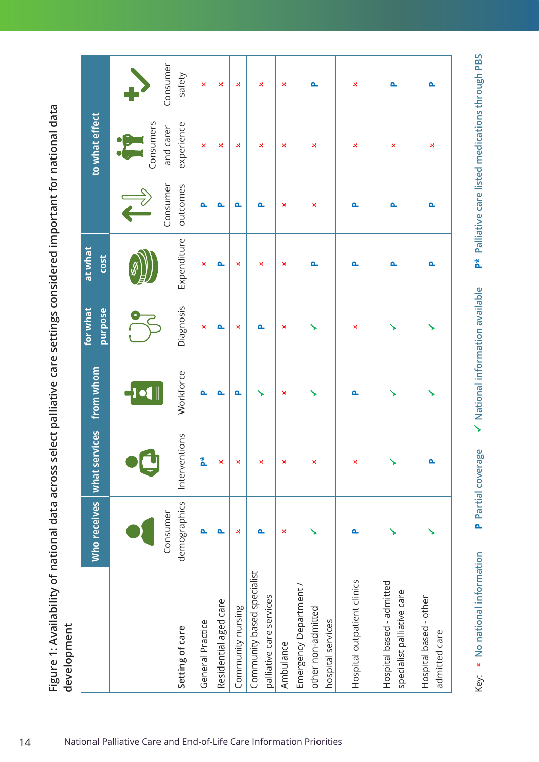|                                                                   | Who receives              | what services      | from whom | for what<br>purpose | at what<br><b>COSt</b> |                      | to what effect          |                    |
|-------------------------------------------------------------------|---------------------------|--------------------|-----------|---------------------|------------------------|----------------------|-------------------------|--------------------|
|                                                                   |                           |                    | -101      |                     |                        |                      | Consumers               |                    |
| Setting of care                                                   | demographics<br>Consumer  | Interventions      | Workforce | Diagnosis           | Expenditure            | Consumer<br>outcomes | experience<br>and carer | Consumer<br>safety |
| General Practice                                                  | Δ.                        | 친                  | Δ         | ×                   | ×                      | Δ                    | ×                       | ×                  |
| Residential aged care                                             | Δ.                        | ×                  | Δ.        | Δ.                  | Δ.                     | Δ.                   | ×                       | ×                  |
| Community nursing                                                 | ×                         | ×                  | Δ.        | ×                   | ×                      | ௳                    | ×                       | ×                  |
| Community based specialist<br>palliative care services            | Δ.                        | ×                  |           | Δ.                  | ×                      | Δ.                   | ×                       | ×                  |
| Ambulance                                                         | $\boldsymbol{\mathsf{x}}$ | ×                  | ×         | ×                   | ×                      | ×                    | ×                       | ×                  |
| Emergency Department /<br>other non-admitted<br>hospital services |                           | $\mathsf{x}$       |           | ↘                   | Δ.                     | ×                    | ×                       | Δ.                 |
| Hospital outpatient clinics                                       | Δ.                        | $\bar{\mathsf{x}}$ | ௳         | ×                   | Δ.                     | Δ.                   | ×                       | ×                  |
| Hospital based - admitted<br>specialist palliative care           |                           | ↘                  | ↘         | ↘                   | Δ.                     | Δ.                   | ×                       | Δ.                 |
| Hospital based - other<br>admitted care                           |                           | $\mathbf{a}$       |           | ↘                   | Δ.                     | Δ.                   | ×                       | Δ.                 |

p\* Palliative care listed medications through PBS Key:  **No national information P Partial coverage National information available P\* Palliative care listed medications through PBS**  $\checkmark$  National information available P Partial coverage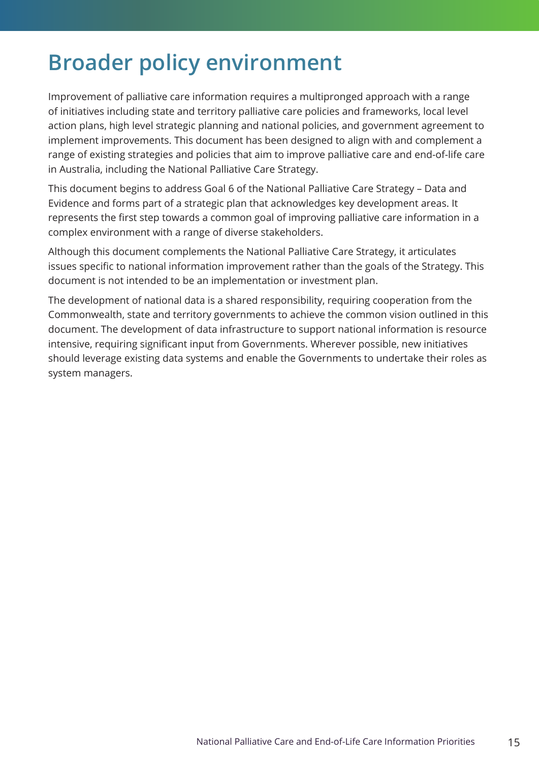### <span id="page-14-0"></span>**Broader policy environment**

Improvement of palliative care information requires a multipronged approach with a range of initiatives including state and territory palliative care policies and frameworks, local level action plans, high level strategic planning and national policies, and government agreement to implement improvements. This document has been designed to align with and complement a range of existing strategies and policies that aim to improve palliative care and end-of-life care in Australia, including the National Palliative Care Strategy.

This document begins to address Goal 6 of the National Palliative Care Strategy – Data and Evidence and forms part of a strategic plan that acknowledges key development areas. It represents the first step towards a common goal of improving palliative care information in a complex environment with a range of diverse stakeholders.

Although this document complements the National Palliative Care Strategy, it articulates issues specific to national information improvement rather than the goals of the Strategy. This document is not intended to be an implementation or investment plan.

The development of national data is a shared responsibility, requiring cooperation from the Commonwealth, state and territory governments to achieve the common vision outlined in this document. The development of data infrastructure to support national information is resource intensive, requiring significant input from Governments. Wherever possible, new initiatives should leverage existing data systems and enable the Governments to undertake their roles as system managers.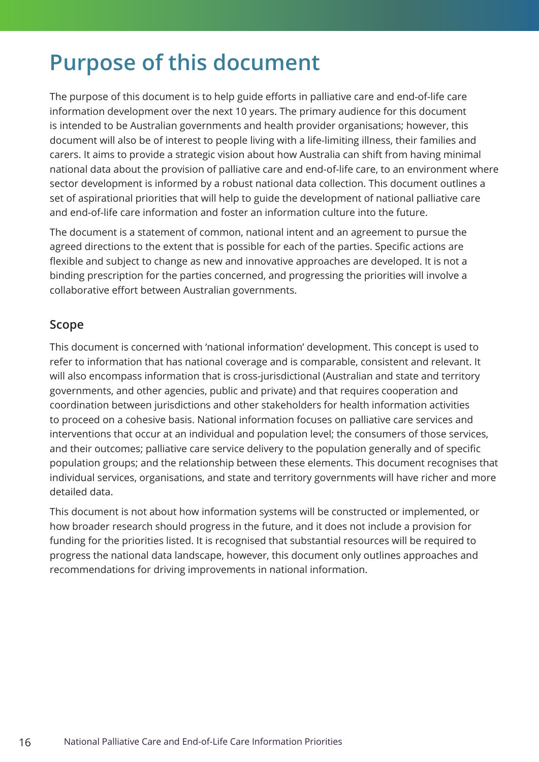### <span id="page-15-0"></span>**Purpose of this document**

The purpose of this document is to help guide efforts in palliative care and end-of-life care information development over the next 10 years. The primary audience for this document is intended to be Australian governments and health provider organisations; however, this document will also be of interest to people living with a life-limiting illness, their families and carers. It aims to provide a strategic vision about how Australia can shift from having minimal national data about the provision of palliative care and end-of-life care, to an environment where sector development is informed by a robust national data collection. This document outlines a set of aspirational priorities that will help to guide the development of national palliative care and end-of-life care information and foster an information culture into the future.

The document is a statement of common, national intent and an agreement to pursue the agreed directions to the extent that is possible for each of the parties. Specific actions are flexible and subject to change as new and innovative approaches are developed. It is not a binding prescription for the parties concerned, and progressing the priorities will involve a collaborative effort between Australian governments.

### **Scope**

This document is concerned with 'national information' development. This concept is used to refer to information that has national coverage and is comparable, consistent and relevant. It will also encompass information that is cross-jurisdictional (Australian and state and territory governments, and other agencies, public and private) and that requires cooperation and coordination between jurisdictions and other stakeholders for health information activities to proceed on a cohesive basis. National information focuses on palliative care services and interventions that occur at an individual and population level; the consumers of those services, and their outcomes; palliative care service delivery to the population generally and of specific population groups; and the relationship between these elements. This document recognises that individual services, organisations, and state and territory governments will have richer and more detailed data.

This document is not about how information systems will be constructed or implemented, or how broader research should progress in the future, and it does not include a provision for funding for the priorities listed. It is recognised that substantial resources will be required to progress the national data landscape, however, this document only outlines approaches and recommendations for driving improvements in national information.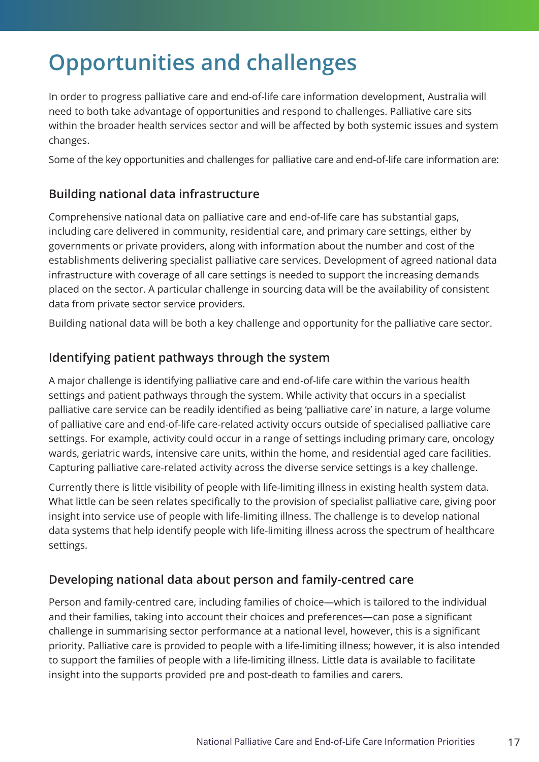### <span id="page-16-0"></span>**Opportunities and challenges**

In order to progress palliative care and end-of-life care information development, Australia will need to both take advantage of opportunities and respond to challenges. Palliative care sits within the broader health services sector and will be affected by both systemic issues and system changes.

Some of the key opportunities and challenges for palliative care and end-of-life care information are:

### **Building national data infrastructure**

Comprehensive national data on palliative care and end-of-life care has substantial gaps, including care delivered in community, residential care, and primary care settings, either by governments or private providers, along with information about the number and cost of the establishments delivering specialist palliative care services. Development of agreed national data infrastructure with coverage of all care settings is needed to support the increasing demands placed on the sector. A particular challenge in sourcing data will be the availability of consistent data from private sector service providers.

Building national data will be both a key challenge and opportunity for the palliative care sector.

### **Identifying patient pathways through the system**

A major challenge is identifying palliative care and end-of-life care within the various health settings and patient pathways through the system. While activity that occurs in a specialist palliative care service can be readily identified as being 'palliative care' in nature, a large volume of palliative care and end-of-life care-related activity occurs outside of specialised palliative care settings. For example, activity could occur in a range of settings including primary care, oncology wards, geriatric wards, intensive care units, within the home, and residential aged care facilities. Capturing palliative care-related activity across the diverse service settings is a key challenge.

Currently there is little visibility of people with life-limiting illness in existing health system data. What little can be seen relates specifically to the provision of specialist palliative care, giving poor insight into service use of people with life-limiting illness. The challenge is to develop national data systems that help identify people with life-limiting illness across the spectrum of healthcare settings.

### **Developing national data about person and family-centred care**

Person and family-centred care, including families of choice—which is tailored to the individual and their families, taking into account their choices and preferences—can pose a significant challenge in summarising sector performance at a national level, however, this is a significant priority. Palliative care is provided to people with a life-limiting illness; however, it is also intended to support the families of people with a life-limiting illness. Little data is available to facilitate insight into the supports provided pre and post-death to families and carers.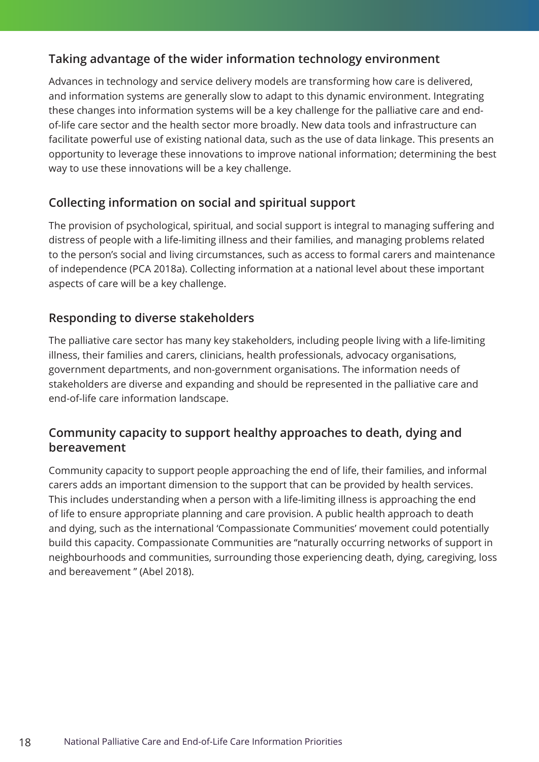### **Taking advantage of the wider information technology environment**

Advances in technology and service delivery models are transforming how care is delivered, and information systems are generally slow to adapt to this dynamic environment. Integrating these changes into information systems will be a key challenge for the palliative care and endof-life care sector and the health sector more broadly. New data tools and infrastructure can facilitate powerful use of existing national data, such as the use of data linkage. This presents an opportunity to leverage these innovations to improve national information; determining the best way to use these innovations will be a key challenge.

### **Collecting information on social and spiritual support**

The provision of psychological, spiritual, and social support is integral to managing suffering and distress of people with a life-limiting illness and their families, and managing problems related to the person's social and living circumstances, such as access to formal carers and maintenance of independence (PCA 2018a). Collecting information at a national level about these important aspects of care will be a key challenge.

### **Responding to diverse stakeholders**

The palliative care sector has many key stakeholders, including people living with a life-limiting illness, their families and carers, clinicians, health professionals, advocacy organisations, government departments, and non-government organisations. The information needs of stakeholders are diverse and expanding and should be represented in the palliative care and end-of-life care information landscape.

### **Community capacity to support healthy approaches to death, dying and bereavement**

Community capacity to support people approaching the end of life, their families, and informal carers adds an important dimension to the support that can be provided by health services. This includes understanding when a person with a life-limiting illness is approaching the end of life to ensure appropriate planning and care provision. A public health approach to death and dying, such as the international 'Compassionate Communities' movement could potentially build this capacity. Compassionate Communities are "naturally occurring networks of support in neighbourhoods and communities, surrounding those experiencing death, dying, caregiving, loss and bereavement " (Abel 2018).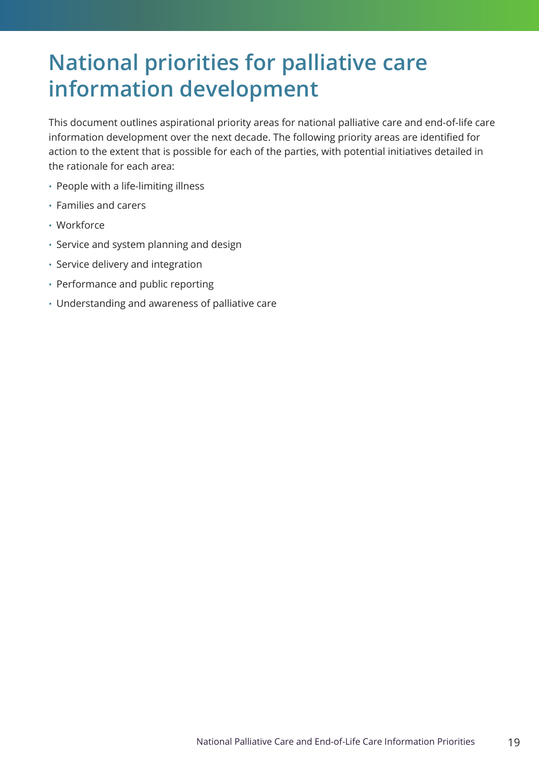### <span id="page-18-0"></span>**National priorities for palliative care information development**

This document outlines aspirational priority areas for national palliative care and end-of-life care information development over the next decade. The following priority areas are identified for action to the extent that is possible for each of the parties, with potential initiatives detailed in the rationale for each area:

- People with a life-limiting illness
- Families and carers
- Workforce
- Service and system planning and design
- Service delivery and integration
- Performance and public reporting
- Understanding and awareness of palliative care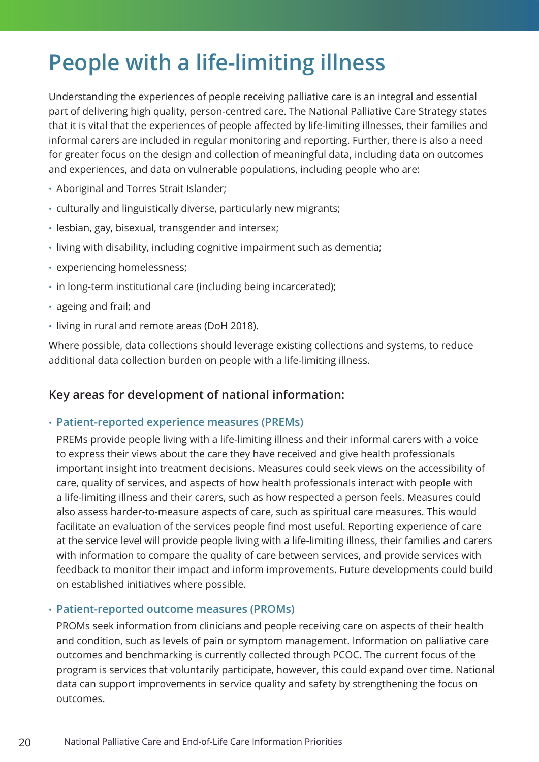### <span id="page-19-0"></span>**People with a life-limiting illness**

Understanding the experiences of people receiving palliative care is an integral and essential part of delivering high quality, person-centred care. The National Palliative Care Strategy states that it is vital that the experiences of people affected by life-limiting illnesses, their families and informal carers are included in regular monitoring and reporting. Further, there is also a need for greater focus on the design and collection of meaningful data, including data on outcomes and experiences, and data on vulnerable populations, including people who are:

- Aboriginal and Torres Strait Islander;
- culturally and linguistically diverse, particularly new migrants;
- lesbian, gay, bisexual, transgender and intersex;
- living with disability, including cognitive impairment such as dementia;
- experiencing homelessness;
- in long-term institutional care (including being incarcerated);
- ageing and frail; and
- living in rural and remote areas (DoH 2018).

Where possible, data collections should leverage existing collections and systems, to reduce additional data collection burden on people with a life-limiting illness.

#### **Key areas for development of national information:**

#### • **Patient-reported experience measures (PREMs)**

PREMs provide people living with a life-limiting illness and their informal carers with a voice to express their views about the care they have received and give health professionals important insight into treatment decisions. Measures could seek views on the accessibility of care, quality of services, and aspects of how health professionals interact with people with a life-limiting illness and their carers, such as how respected a person feels. Measures could also assess harder-to-measure aspects of care, such as spiritual care measures. This would facilitate an evaluation of the services people find most useful. Reporting experience of care at the service level will provide people living with a life-limiting illness, their families and carers with information to compare the quality of care between services, and provide services with feedback to monitor their impact and inform improvements. Future developments could build on established initiatives where possible.

#### • **Patient-reported outcome measures (PROMs)**

PROMs seek information from clinicians and people receiving care on aspects of their health and condition, such as levels of pain or symptom management. Information on palliative care outcomes and benchmarking is currently collected through PCOC. The current focus of the program is services that voluntarily participate, however, this could expand over time. National data can support improvements in service quality and safety by strengthening the focus on outcomes.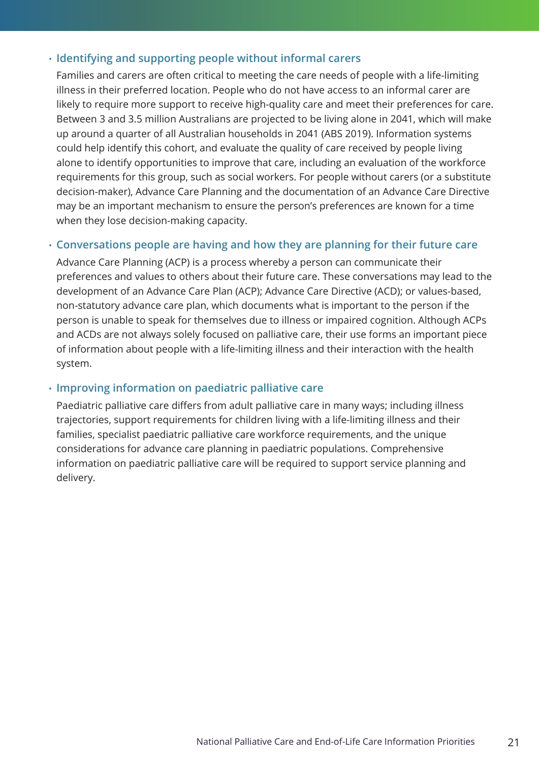#### • **Identifying and supporting people without informal carers**

Families and carers are often critical to meeting the care needs of people with a life-limiting illness in their preferred location. People who do not have access to an informal carer are likely to require more support to receive high-quality care and meet their preferences for care. Between 3 and 3.5 million Australians are projected to be living alone in 2041, which will make up around a quarter of all Australian households in 2041 (ABS 2019). Information systems could help identify this cohort, and evaluate the quality of care received by people living alone to identify opportunities to improve that care, including an evaluation of the workforce requirements for this group, such as social workers. For people without carers (or a substitute decision-maker), Advance Care Planning and the documentation of an Advance Care Directive may be an important mechanism to ensure the person's preferences are known for a time when they lose decision-making capacity.

#### • **Conversations people are having and how they are planning for their future care**

Advance Care Planning (ACP) is a process whereby a person can communicate their preferences and values to others about their future care. These conversations may lead to the development of an Advance Care Plan (ACP); Advance Care Directive (ACD); or values-based, non-statutory advance care plan, which documents what is important to the person if the person is unable to speak for themselves due to illness or impaired cognition. Although ACPs and ACDs are not always solely focused on palliative care, their use forms an important piece of information about people with a life-limiting illness and their interaction with the health system.

#### • **Improving information on paediatric palliative care**

Paediatric palliative care differs from adult palliative care in many ways; including illness trajectories, support requirements for children living with a life-limiting illness and their families, specialist paediatric palliative care workforce requirements, and the unique considerations for advance care planning in paediatric populations. Comprehensive information on paediatric palliative care will be required to support service planning and delivery.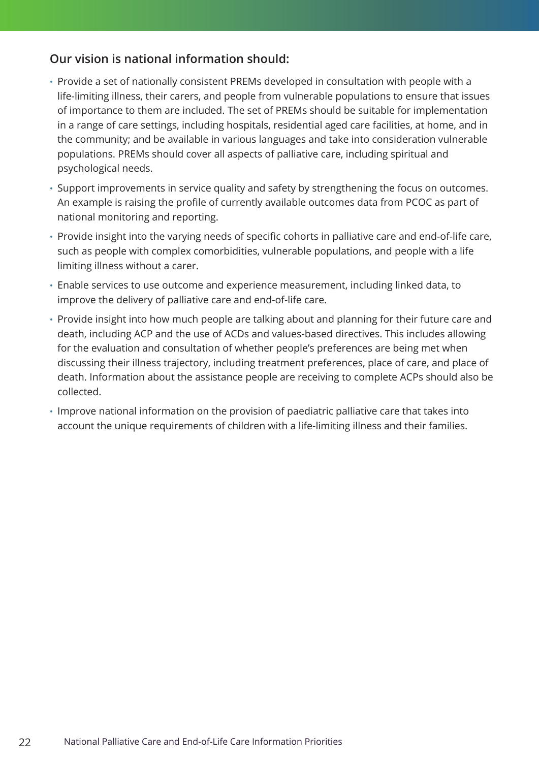### **Our vision is national information should:**

- Provide a set of nationally consistent PREMs developed in consultation with people with a life-limiting illness, their carers, and people from vulnerable populations to ensure that issues of importance to them are included. The set of PREMs should be suitable for implementation in a range of care settings, including hospitals, residential aged care facilities, at home, and in the community; and be available in various languages and take into consideration vulnerable populations. PREMs should cover all aspects of palliative care, including spiritual and psychological needs.
- Support improvements in service quality and safety by strengthening the focus on outcomes. An example is raising the profile of currently available outcomes data from PCOC as part of national monitoring and reporting.
- Provide insight into the varying needs of specific cohorts in palliative care and end-of-life care, such as people with complex comorbidities, vulnerable populations, and people with a life limiting illness without a carer.
- Enable services to use outcome and experience measurement, including linked data, to improve the delivery of palliative care and end-of-life care.
- Provide insight into how much people are talking about and planning for their future care and death, including ACP and the use of ACDs and values-based directives. This includes allowing for the evaluation and consultation of whether people's preferences are being met when discussing their illness trajectory, including treatment preferences, place of care, and place of death. Information about the assistance people are receiving to complete ACPs should also be collected.
- Improve national information on the provision of paediatric palliative care that takes into account the unique requirements of children with a life-limiting illness and their families.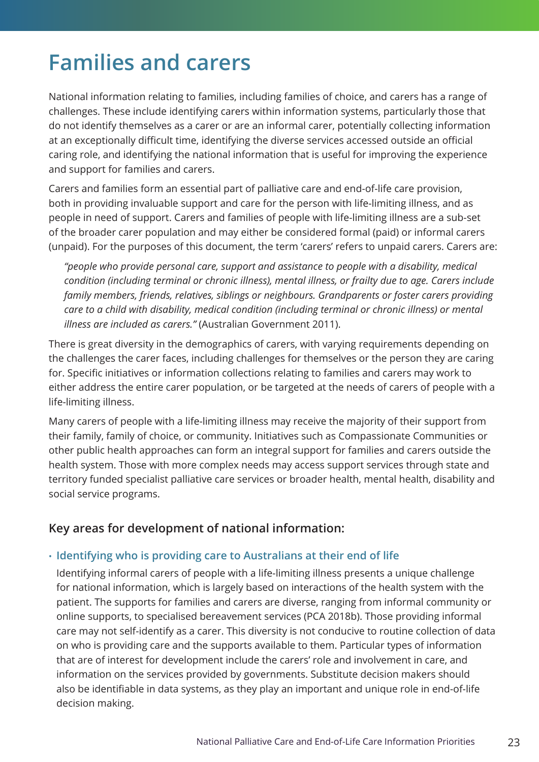### <span id="page-22-0"></span>**Families and carers**

National information relating to families, including families of choice, and carers has a range of challenges. These include identifying carers within information systems, particularly those that do not identify themselves as a carer or are an informal carer, potentially collecting information at an exceptionally difficult time, identifying the diverse services accessed outside an official caring role, and identifying the national information that is useful for improving the experience and support for families and carers.

Carers and families form an essential part of palliative care and end-of-life care provision, both in providing invaluable support and care for the person with life-limiting illness, and as people in need of support. Carers and families of people with life-limiting illness are a sub-set of the broader carer population and may either be considered formal (paid) or informal carers (unpaid). For the purposes of this document, the term 'carers' refers to unpaid carers. Carers are:

*"people who provide personal care, support and assistance to people with a disability, medical condition (including terminal or chronic illness), mental illness, or frailty due to age. Carers include family members, friends, relatives, siblings or neighbours. Grandparents or foster carers providing care to a child with disability, medical condition (including terminal or chronic illness) or mental illness are included as carers."* (Australian Government 2011).

There is great diversity in the demographics of carers, with varying requirements depending on the challenges the carer faces, including challenges for themselves or the person they are caring for. Specific initiatives or information collections relating to families and carers may work to either address the entire carer population, or be targeted at the needs of carers of people with a life-limiting illness.

Many carers of people with a life-limiting illness may receive the majority of their support from their family, family of choice, or community. Initiatives such as Compassionate Communities or other public health approaches can form an integral support for families and carers outside the health system. Those with more complex needs may access support services through state and territory funded specialist palliative care services or broader health, mental health, disability and social service programs.

### **Key areas for development of national information:**

#### • **Identifying who is providing care to Australians at their end of life**

Identifying informal carers of people with a life-limiting illness presents a unique challenge for national information, which is largely based on interactions of the health system with the patient. The supports for families and carers are diverse, ranging from informal community or online supports, to specialised bereavement services (PCA 2018b). Those providing informal care may not self-identify as a carer. This diversity is not conducive to routine collection of data on who is providing care and the supports available to them. Particular types of information that are of interest for development include the carers' role and involvement in care, and information on the services provided by governments. Substitute decision makers should also be identifiable in data systems, as they play an important and unique role in end-of-life decision making.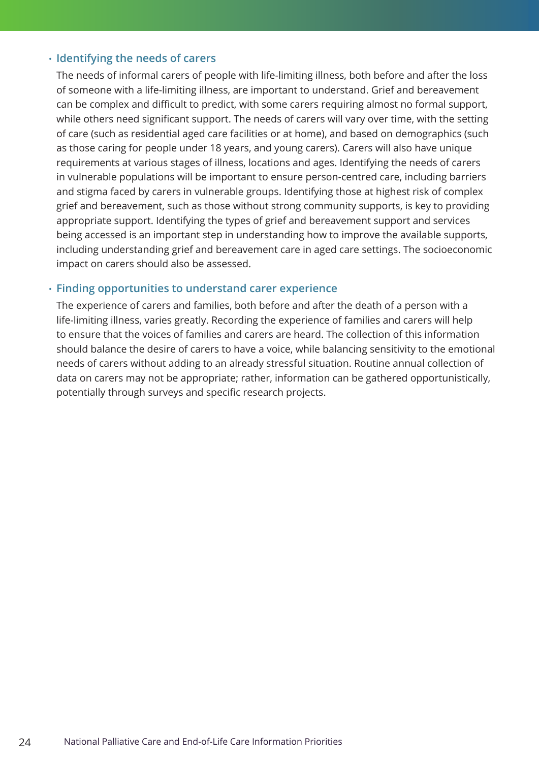#### • **Identifying the needs of carers**

The needs of informal carers of people with life-limiting illness, both before and after the loss of someone with a life-limiting illness, are important to understand. Grief and bereavement can be complex and difficult to predict, with some carers requiring almost no formal support, while others need significant support. The needs of carers will vary over time, with the setting of care (such as residential aged care facilities or at home), and based on demographics (such as those caring for people under 18 years, and young carers). Carers will also have unique requirements at various stages of illness, locations and ages. Identifying the needs of carers in vulnerable populations will be important to ensure person-centred care, including barriers and stigma faced by carers in vulnerable groups. Identifying those at highest risk of complex grief and bereavement, such as those without strong community supports, is key to providing appropriate support. Identifying the types of grief and bereavement support and services being accessed is an important step in understanding how to improve the available supports, including understanding grief and bereavement care in aged care settings. The socioeconomic impact on carers should also be assessed.

#### • **Finding opportunities to understand carer experience**

The experience of carers and families, both before and after the death of a person with a life-limiting illness, varies greatly. Recording the experience of families and carers will help to ensure that the voices of families and carers are heard. The collection of this information should balance the desire of carers to have a voice, while balancing sensitivity to the emotional needs of carers without adding to an already stressful situation. Routine annual collection of data on carers may not be appropriate; rather, information can be gathered opportunistically, potentially through surveys and specific research projects.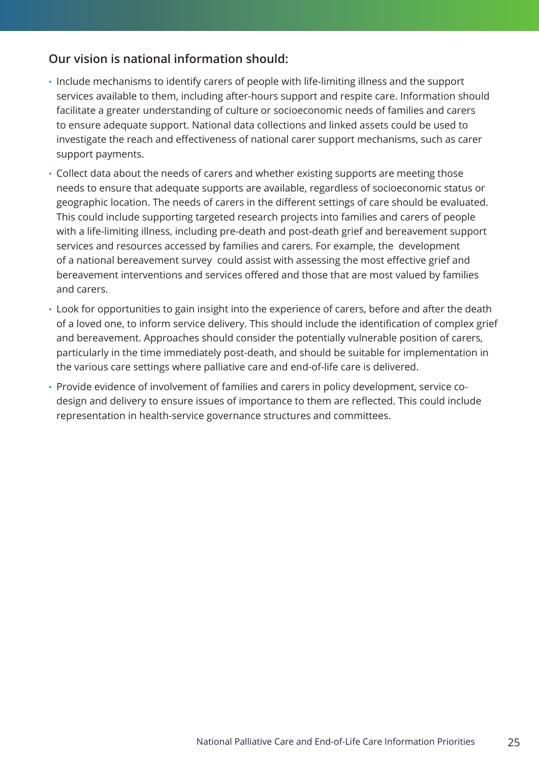### **Our vision is national information should:**

- Include mechanisms to identify carers of people with life-limiting illness and the support services available to them, including after-hours support and respite care. Information should facilitate a greater understanding of culture or socioeconomic needs of families and carers to ensure adequate support. National data collections and linked assets could be used to investigate the reach and effectiveness of national carer support mechanisms, such as carer support payments.
- Collect data about the needs of carers and whether existing supports are meeting those needs to ensure that adequate supports are available, regardless of socioeconomic status or geographic location. The needs of carers in the different settings of care should be evaluated. This could include supporting targeted research projects into families and carers of people with a life-limiting illness, including pre-death and post-death grief and bereavement support services and resources accessed by families and carers. For example, the development of a national bereavement survey could assist with assessing the most effective grief and bereavement interventions and services offered and those that are most valued by families and carers.
- Look for opportunities to gain insight into the experience of carers, before and after the death of a loved one, to inform service delivery. This should include the identification of complex grief and bereavement. Approaches should consider the potentially vulnerable position of carers, particularly in the time immediately post-death, and should be suitable for implementation in the various care settings where palliative care and end-of-life care is delivered.
- Provide evidence of involvement of families and carers in policy development, service codesign and delivery to ensure issues of importance to them are reflected. This could include representation in health-service governance structures and committees.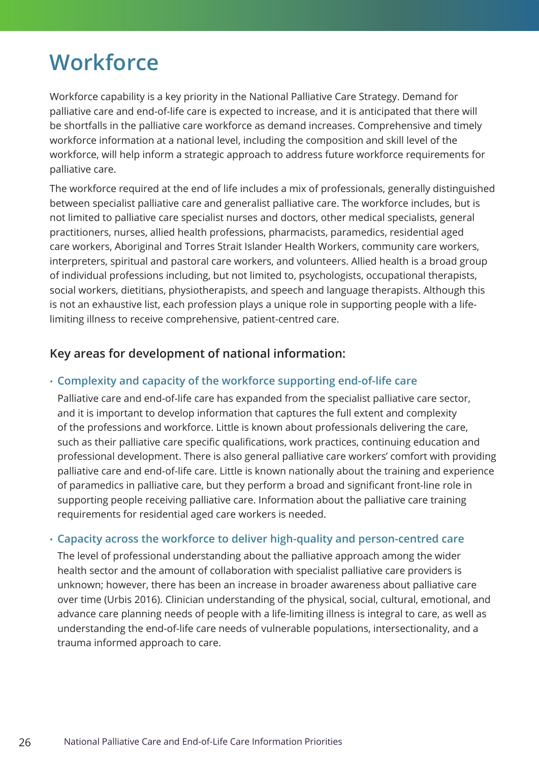### <span id="page-25-0"></span>**Workforce**

Workforce capability is a key priority in the National Palliative Care Strategy. Demand for palliative care and end-of-life care is expected to increase, and it is anticipated that there will be shortfalls in the palliative care workforce as demand increases. Comprehensive and timely workforce information at a national level, including the composition and skill level of the workforce, will help inform a strategic approach to address future workforce requirements for palliative care.

The workforce required at the end of life includes a mix of professionals, generally distinguished between specialist palliative care and generalist palliative care. The workforce includes, but is not limited to palliative care specialist nurses and doctors, other medical specialists, general practitioners, nurses, allied health professions, pharmacists, paramedics, residential aged care workers, Aboriginal and Torres Strait Islander Health Workers, community care workers, interpreters, spiritual and pastoral care workers, and volunteers. Allied health is a broad group of individual professions including, but not limited to, psychologists, occupational therapists, social workers, dietitians, physiotherapists, and speech and language therapists. Although this is not an exhaustive list, each profession plays a unique role in supporting people with a lifelimiting illness to receive comprehensive, patient-centred care.

### **Key areas for development of national information:**

#### • **Complexity and capacity of the workforce supporting end-of-life care**

Palliative care and end-of-life care has expanded from the specialist palliative care sector, and it is important to develop information that captures the full extent and complexity of the professions and workforce. Little is known about professionals delivering the care, such as their palliative care specific qualifications, work practices, continuing education and professional development. There is also general palliative care workers' comfort with providing palliative care and end-of-life care. Little is known nationally about the training and experience of paramedics in palliative care, but they perform a broad and significant front-line role in supporting people receiving palliative care. Information about the palliative care training requirements for residential aged care workers is needed.

#### • **Capacity across the workforce to deliver high-quality and person-centred care**

The level of professional understanding about the palliative approach among the wider health sector and the amount of collaboration with specialist palliative care providers is unknown; however, there has been an increase in broader awareness about palliative care over time (Urbis 2016). Clinician understanding of the physical, social, cultural, emotional, and advance care planning needs of people with a life-limiting illness is integral to care, as well as understanding the end-of-life care needs of vulnerable populations, intersectionality, and a trauma informed approach to care.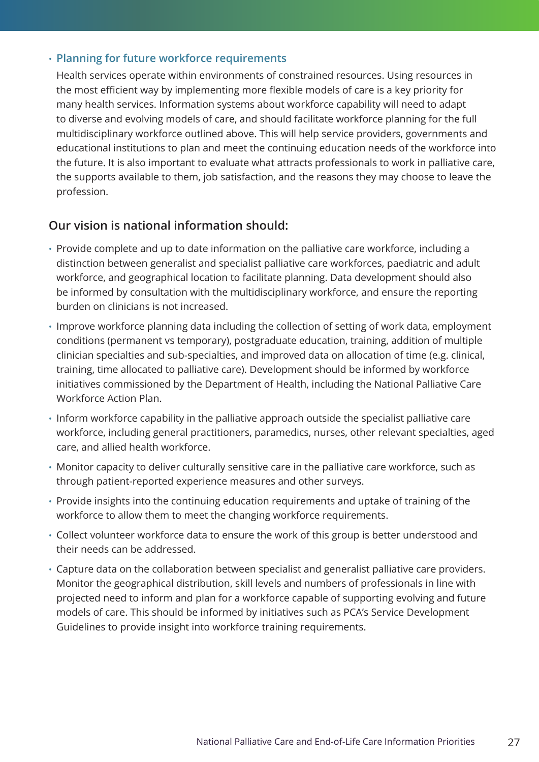#### • **Planning for future workforce requirements**

Health services operate within environments of constrained resources. Using resources in the most efficient way by implementing more flexible models of care is a key priority for many health services. Information systems about workforce capability will need to adapt to diverse and evolving models of care, and should facilitate workforce planning for the full multidisciplinary workforce outlined above. This will help service providers, governments and educational institutions to plan and meet the continuing education needs of the workforce into the future. It is also important to evaluate what attracts professionals to work in palliative care, the supports available to them, job satisfaction, and the reasons they may choose to leave the profession.

### **Our vision is national information should:**

- Provide complete and up to date information on the palliative care workforce, including a distinction between generalist and specialist palliative care workforces, paediatric and adult workforce, and geographical location to facilitate planning. Data development should also be informed by consultation with the multidisciplinary workforce, and ensure the reporting burden on clinicians is not increased.
- Improve workforce planning data including the collection of setting of work data, employment conditions (permanent vs temporary), postgraduate education, training, addition of multiple clinician specialties and sub-specialties, and improved data on allocation of time (e.g. clinical, training, time allocated to palliative care). Development should be informed by workforce initiatives commissioned by the Department of Health, including the National Palliative Care Workforce Action Plan.
- Inform workforce capability in the palliative approach outside the specialist palliative care workforce, including general practitioners, paramedics, nurses, other relevant specialties, aged care, and allied health workforce.
- Monitor capacity to deliver culturally sensitive care in the palliative care workforce, such as through patient-reported experience measures and other surveys.
- Provide insights into the continuing education requirements and uptake of training of the workforce to allow them to meet the changing workforce requirements.
- Collect volunteer workforce data to ensure the work of this group is better understood and their needs can be addressed.
- Capture data on the collaboration between specialist and generalist palliative care providers. Monitor the geographical distribution, skill levels and numbers of professionals in line with projected need to inform and plan for a workforce capable of supporting evolving and future models of care. This should be informed by initiatives such as PCA's Service Development Guidelines to provide insight into workforce training requirements.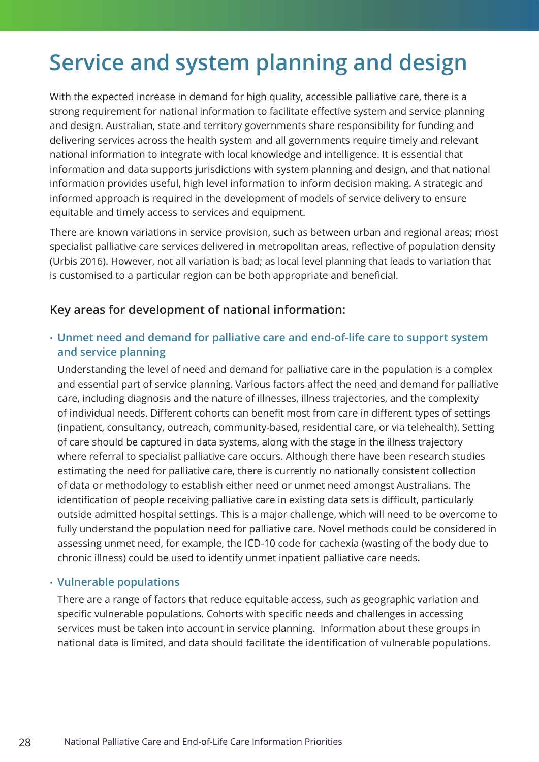### <span id="page-27-0"></span>**Service and system planning and design**

With the expected increase in demand for high quality, accessible palliative care, there is a strong requirement for national information to facilitate effective system and service planning and design. Australian, state and territory governments share responsibility for funding and delivering services across the health system and all governments require timely and relevant national information to integrate with local knowledge and intelligence. It is essential that information and data supports jurisdictions with system planning and design, and that national information provides useful, high level information to inform decision making. A strategic and informed approach is required in the development of models of service delivery to ensure equitable and timely access to services and equipment.

There are known variations in service provision, such as between urban and regional areas; most specialist palliative care services delivered in metropolitan areas, reflective of population density (Urbis 2016). However, not all variation is bad; as local level planning that leads to variation that is customised to a particular region can be both appropriate and beneficial.

### **Key areas for development of national information:**

• **Unmet need and demand for palliative care and end-of-life care to support system and service planning**

Understanding the level of need and demand for palliative care in the population is a complex and essential part of service planning. Various factors affect the need and demand for palliative care, including diagnosis and the nature of illnesses, illness trajectories, and the complexity of individual needs. Different cohorts can benefit most from care in different types of settings (inpatient, consultancy, outreach, community-based, residential care, or via telehealth). Setting of care should be captured in data systems, along with the stage in the illness trajectory where referral to specialist palliative care occurs. Although there have been research studies estimating the need for palliative care, there is currently no nationally consistent collection of data or methodology to establish either need or unmet need amongst Australians. The identification of people receiving palliative care in existing data sets is difficult, particularly outside admitted hospital settings. This is a major challenge, which will need to be overcome to fully understand the population need for palliative care. Novel methods could be considered in assessing unmet need, for example, the ICD-10 code for cachexia (wasting of the body due to chronic illness) could be used to identify unmet inpatient palliative care needs.

### • **Vulnerable populations**

There are a range of factors that reduce equitable access, such as geographic variation and specific vulnerable populations. Cohorts with specific needs and challenges in accessing services must be taken into account in service planning. Information about these groups in national data is limited, and data should facilitate the identification of vulnerable populations.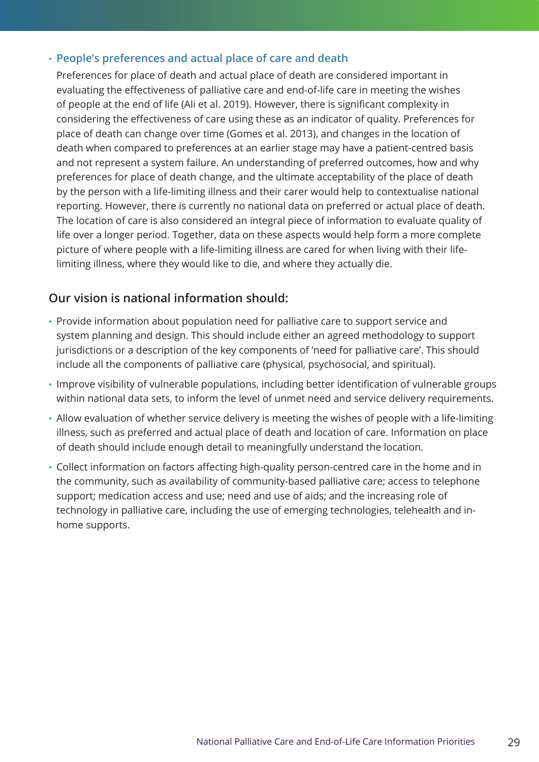#### • **People's preferences and actual place of care and death**

Preferences for place of death and actual place of death are considered important in evaluating the effectiveness of palliative care and end-of-life care in meeting the wishes of people at the end of life (Ali et al. 2019). However, there is significant complexity in considering the effectiveness of care using these as an indicator of quality. Preferences for place of death can change over time (Gomes et al. 2013), and changes in the location of death when compared to preferences at an earlier stage may have a patient-centred basis and not represent a system failure. An understanding of preferred outcomes, how and why preferences for place of death change, and the ultimate acceptability of the place of death by the person with a life-limiting illness and their carer would help to contextualise national reporting. However, there is currently no national data on preferred or actual place of death. The location of care is also considered an integral piece of information to evaluate quality of life over a longer period. Together, data on these aspects would help form a more complete picture of where people with a life-limiting illness are cared for when living with their lifelimiting illness, where they would like to die, and where they actually die.

### **Our vision is national information should:**

- Provide information about population need for palliative care to support service and system planning and design. This should include either an agreed methodology to support jurisdictions or a description of the key components of 'need for palliative care'. This should include all the components of palliative care (physical, psychosocial, and spiritual).
- Improve visibility of vulnerable populations, including better identification of vulnerable groups within national data sets, to inform the level of unmet need and service delivery requirements.
- Allow evaluation of whether service delivery is meeting the wishes of people with a life-limiting illness, such as preferred and actual place of death and location of care. Information on place of death should include enough detail to meaningfully understand the location.
- Collect information on factors affecting high-quality person-centred care in the home and in the community, such as availability of community-based palliative care; access to telephone support; medication access and use; need and use of aids; and the increasing role of technology in palliative care, including the use of emerging technologies, telehealth and inhome supports.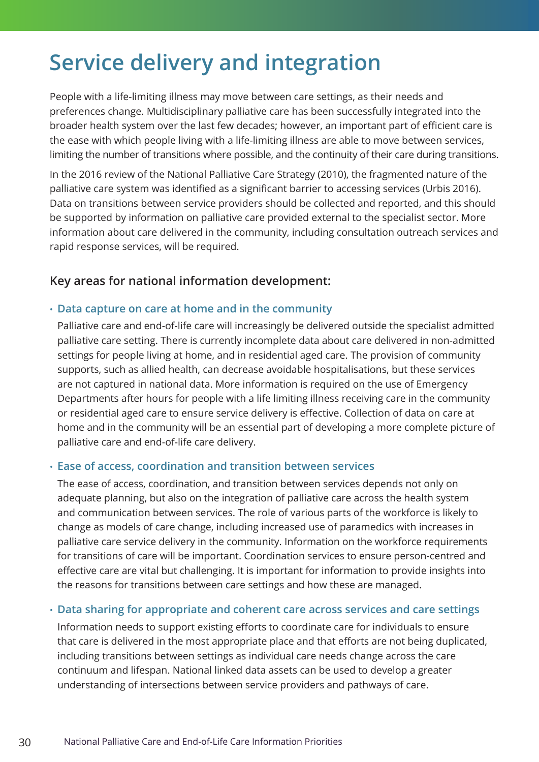### <span id="page-29-0"></span>**Service delivery and integration**

People with a life-limiting illness may move between care settings, as their needs and preferences change. Multidisciplinary palliative care has been successfully integrated into the broader health system over the last few decades; however, an important part of efficient care is the ease with which people living with a life-limiting illness are able to move between services, limiting the number of transitions where possible, and the continuity of their care during transitions.

In the 2016 review of the National Palliative Care Strategy (2010), the fragmented nature of the palliative care system was identified as a significant barrier to accessing services (Urbis 2016). Data on transitions between service providers should be collected and reported, and this should be supported by information on palliative care provided external to the specialist sector. More information about care delivered in the community, including consultation outreach services and rapid response services, will be required.

### **Key areas for national information development:**

#### • **Data capture on care at home and in the community**

Palliative care and end-of-life care will increasingly be delivered outside the specialist admitted palliative care setting. There is currently incomplete data about care delivered in non-admitted settings for people living at home, and in residential aged care. The provision of community supports, such as allied health, can decrease avoidable hospitalisations, but these services are not captured in national data. More information is required on the use of Emergency Departments after hours for people with a life limiting illness receiving care in the community or residential aged care to ensure service delivery is effective. Collection of data on care at home and in the community will be an essential part of developing a more complete picture of palliative care and end-of-life care delivery.

#### • **Ease of access, coordination and transition between services**

The ease of access, coordination, and transition between services depends not only on adequate planning, but also on the integration of palliative care across the health system and communication between services. The role of various parts of the workforce is likely to change as models of care change, including increased use of paramedics with increases in palliative care service delivery in the community. Information on the workforce requirements for transitions of care will be important. Coordination services to ensure person-centred and effective care are vital but challenging. It is important for information to provide insights into the reasons for transitions between care settings and how these are managed.

#### • **Data sharing for appropriate and coherent care across services and care settings**

Information needs to support existing efforts to coordinate care for individuals to ensure that care is delivered in the most appropriate place and that efforts are not being duplicated, including transitions between settings as individual care needs change across the care continuum and lifespan. National linked data assets can be used to develop a greater understanding of intersections between service providers and pathways of care.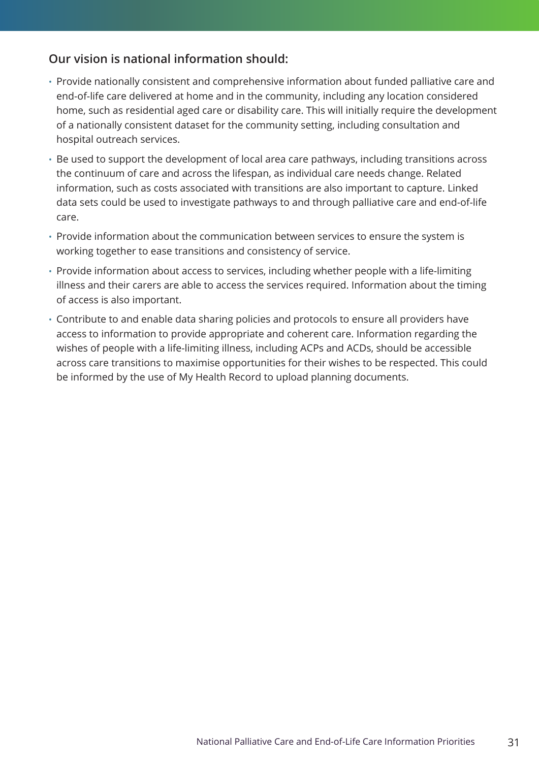### **Our vision is national information should:**

- Provide nationally consistent and comprehensive information about funded palliative care and end-of-life care delivered at home and in the community, including any location considered home, such as residential aged care or disability care. This will initially require the development of a nationally consistent dataset for the community setting, including consultation and hospital outreach services.
- Be used to support the development of local area care pathways, including transitions across the continuum of care and across the lifespan, as individual care needs change. Related information, such as costs associated with transitions are also important to capture. Linked data sets could be used to investigate pathways to and through palliative care and end-of-life care.
- Provide information about the communication between services to ensure the system is working together to ease transitions and consistency of service.
- Provide information about access to services, including whether people with a life-limiting illness and their carers are able to access the services required. Information about the timing of access is also important.
- Contribute to and enable data sharing policies and protocols to ensure all providers have access to information to provide appropriate and coherent care. Information regarding the wishes of people with a life-limiting illness, including ACPs and ACDs, should be accessible across care transitions to maximise opportunities for their wishes to be respected. This could be informed by the use of My Health Record to upload planning documents.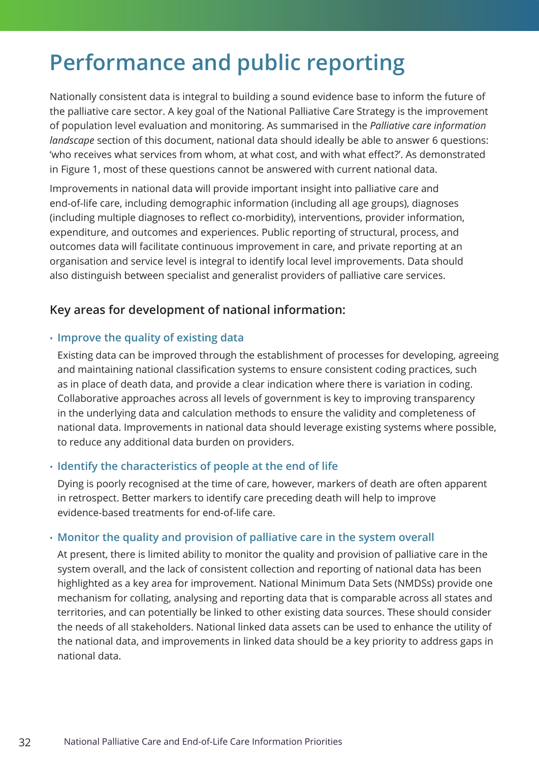### <span id="page-31-0"></span>**Performance and public reporting**

Nationally consistent data is integral to building a sound evidence base to inform the future of the palliative care sector. A key goal of the National Palliative Care Strategy is the improvement of population level evaluation and monitoring. As summarised in the *Palliative care information landscape* section of this document, national data should ideally be able to answer 6 questions: 'who receives what services from whom, at what cost, and with what effect?'. As demonstrated in Figure 1, most of these questions cannot be answered with current national data.

Improvements in national data will provide important insight into palliative care and end-of-life care, including demographic information (including all age groups), diagnoses (including multiple diagnoses to reflect co-morbidity), interventions, provider information, expenditure, and outcomes and experiences. Public reporting of structural, process, and outcomes data will facilitate continuous improvement in care, and private reporting at an organisation and service level is integral to identify local level improvements. Data should also distinguish between specialist and generalist providers of palliative care services.

### **Key areas for development of national information:**

### • **Improve the quality of existing data**

Existing data can be improved through the establishment of processes for developing, agreeing and maintaining national classification systems to ensure consistent coding practices, such as in place of death data, and provide a clear indication where there is variation in coding. Collaborative approaches across all levels of government is key to improving transparency in the underlying data and calculation methods to ensure the validity and completeness of national data. Improvements in national data should leverage existing systems where possible, to reduce any additional data burden on providers.

### • **Identify the characteristics of people at the end of life**

Dying is poorly recognised at the time of care, however, markers of death are often apparent in retrospect. Better markers to identify care preceding death will help to improve evidence-based treatments for end-of-life care.

### • **Monitor the quality and provision of palliative care in the system overall**

At present, there is limited ability to monitor the quality and provision of palliative care in the system overall, and the lack of consistent collection and reporting of national data has been highlighted as a key area for improvement. National Minimum Data Sets (NMDSs) provide one mechanism for collating, analysing and reporting data that is comparable across all states and territories, and can potentially be linked to other existing data sources. These should consider the needs of all stakeholders. National linked data assets can be used to enhance the utility of the national data, and improvements in linked data should be a key priority to address gaps in national data.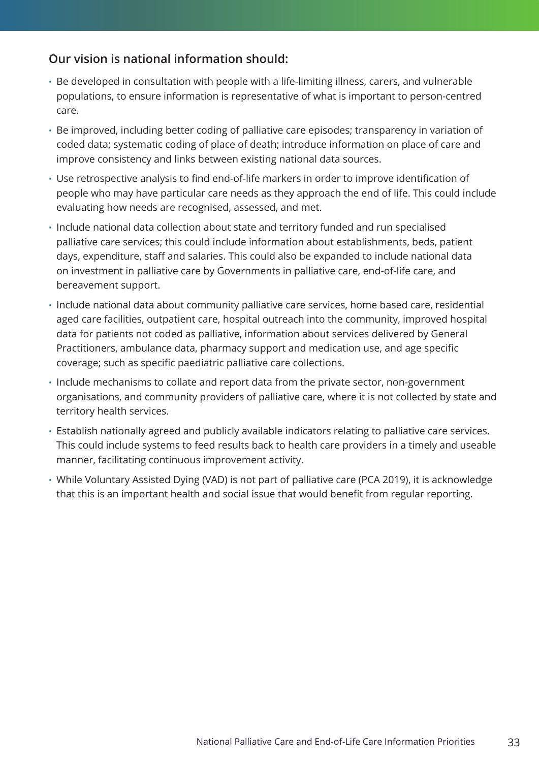### **Our vision is national information should:**

- Be developed in consultation with people with a life-limiting illness, carers, and vulnerable populations, to ensure information is representative of what is important to person-centred care.
- Be improved, including better coding of palliative care episodes; transparency in variation of coded data; systematic coding of place of death; introduce information on place of care and improve consistency and links between existing national data sources.
- Use retrospective analysis to find end-of-life markers in order to improve identification of people who may have particular care needs as they approach the end of life. This could include evaluating how needs are recognised, assessed, and met.
- Include national data collection about state and territory funded and run specialised palliative care services; this could include information about establishments, beds, patient days, expenditure, staff and salaries. This could also be expanded to include national data on investment in palliative care by Governments in palliative care, end-of-life care, and bereavement support.
- Include national data about community palliative care services, home based care, residential aged care facilities, outpatient care, hospital outreach into the community, improved hospital data for patients not coded as palliative, information about services delivered by General Practitioners, ambulance data, pharmacy support and medication use, and age specific coverage; such as specific paediatric palliative care collections.
- Include mechanisms to collate and report data from the private sector, non-government organisations, and community providers of palliative care, where it is not collected by state and territory health services.
- Establish nationally agreed and publicly available indicators relating to palliative care services. This could include systems to feed results back to health care providers in a timely and useable manner, facilitating continuous improvement activity.
- While Voluntary Assisted Dying (VAD) is not part of palliative care (PCA 2019), it is acknowledge that this is an important health and social issue that would benefit from regular reporting.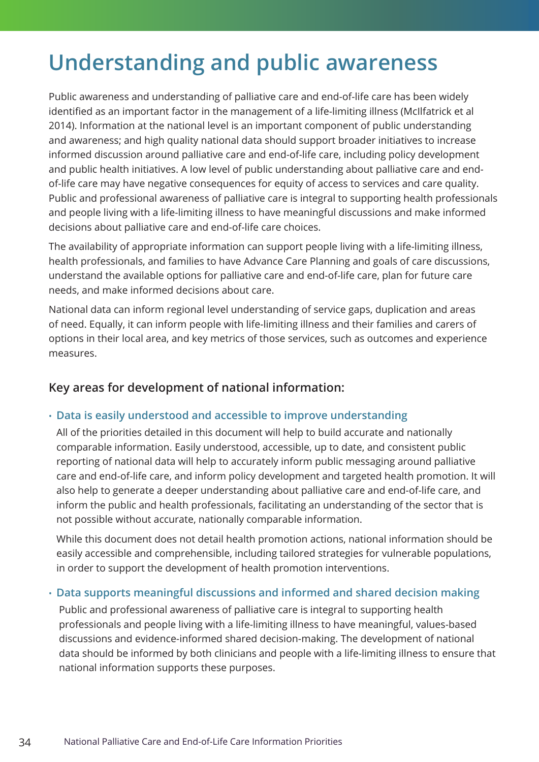### <span id="page-33-0"></span>**Understanding and public awareness**

Public awareness and understanding of palliative care and end-of-life care has been widely identified as an important factor in the management of a life-limiting illness (McIlfatrick et al 2014). Information at the national level is an important component of public understanding and awareness; and high quality national data should support broader initiatives to increase informed discussion around palliative care and end-of-life care, including policy development and public health initiatives. A low level of public understanding about palliative care and endof-life care may have negative consequences for equity of access to services and care quality. Public and professional awareness of palliative care is integral to supporting health professionals and people living with a life-limiting illness to have meaningful discussions and make informed decisions about palliative care and end-of-life care choices.

The availability of appropriate information can support people living with a life-limiting illness, health professionals, and families to have Advance Care Planning and goals of care discussions, understand the available options for palliative care and end-of-life care, plan for future care needs, and make informed decisions about care.

National data can inform regional level understanding of service gaps, duplication and areas of need. Equally, it can inform people with life-limiting illness and their families and carers of options in their local area, and key metrics of those services, such as outcomes and experience measures.

### **Key areas for development of national information:**

### • **Data is easily understood and accessible to improve understanding**

All of the priorities detailed in this document will help to build accurate and nationally comparable information. Easily understood, accessible, up to date, and consistent public reporting of national data will help to accurately inform public messaging around palliative care and end-of-life care, and inform policy development and targeted health promotion. It will also help to generate a deeper understanding about palliative care and end-of-life care, and inform the public and health professionals, facilitating an understanding of the sector that is not possible without accurate, nationally comparable information.

While this document does not detail health promotion actions, national information should be easily accessible and comprehensible, including tailored strategies for vulnerable populations, in order to support the development of health promotion interventions.

#### • **Data supports meaningful discussions and informed and shared decision making**

Public and professional awareness of palliative care is integral to supporting health professionals and people living with a life-limiting illness to have meaningful, values-based discussions and evidence-informed shared decision-making. The development of national data should be informed by both clinicians and people with a life-limiting illness to ensure that national information supports these purposes.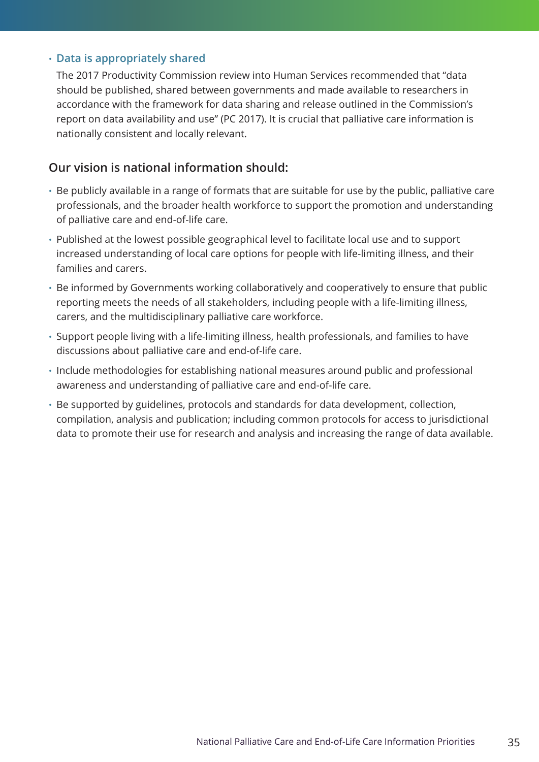#### • **Data is appropriately shared**

The 2017 Productivity Commission review into Human Services recommended that "data should be published, shared between governments and made available to researchers in accordance with the framework for data sharing and release outlined in the Commission's report on data availability and use" (PC 2017). It is crucial that palliative care information is nationally consistent and locally relevant.

### **Our vision is national information should:**

- Be publicly available in a range of formats that are suitable for use by the public, palliative care professionals, and the broader health workforce to support the promotion and understanding of palliative care and end-of-life care.
- Published at the lowest possible geographical level to facilitate local use and to support increased understanding of local care options for people with life-limiting illness, and their families and carers.
- Be informed by Governments working collaboratively and cooperatively to ensure that public reporting meets the needs of all stakeholders, including people with a life-limiting illness, carers, and the multidisciplinary palliative care workforce.
- Support people living with a life-limiting illness, health professionals, and families to have discussions about palliative care and end-of-life care.
- Include methodologies for establishing national measures around public and professional awareness and understanding of palliative care and end-of-life care.
- Be supported by guidelines, protocols and standards for data development, collection, compilation, analysis and publication; including common protocols for access to jurisdictional data to promote their use for research and analysis and increasing the range of data available.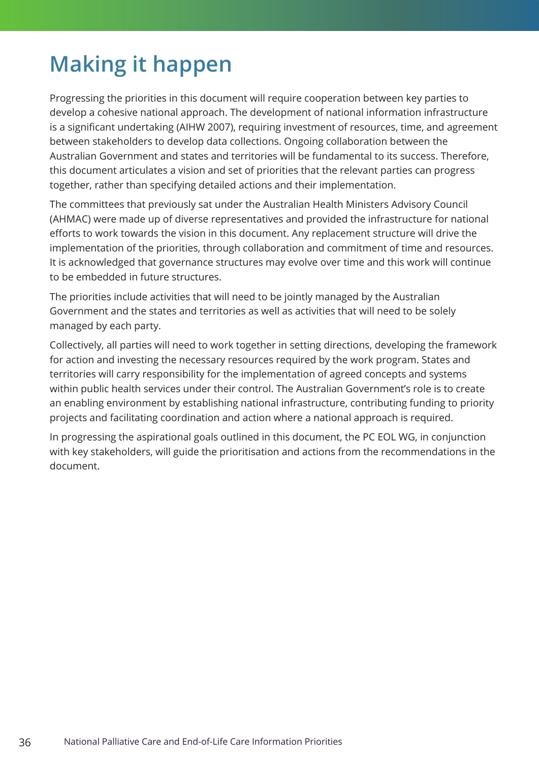### <span id="page-35-0"></span>**Making it happen**

Progressing the priorities in this document will require cooperation between key parties to develop a cohesive national approach. The development of national information infrastructure is a significant undertaking (AIHW 2007), requiring investment of resources, time, and agreement between stakeholders to develop data collections. Ongoing collaboration between the Australian Government and states and territories will be fundamental to its success. Therefore, this document articulates a vision and set of priorities that the relevant parties can progress together, rather than specifying detailed actions and their implementation.

The committees that previously sat under the Australian Health Ministers Advisory Council (AHMAC) were made up of diverse representatives and provided the infrastructure for national efforts to work towards the vision in this document. Any replacement structure will drive the implementation of the priorities, through collaboration and commitment of time and resources. It is acknowledged that governance structures may evolve over time and this work will continue to be embedded in future structures.

The priorities include activities that will need to be jointly managed by the Australian Government and the states and territories as well as activities that will need to be solely managed by each party.

Collectively, all parties will need to work together in setting directions, developing the framework for action and investing the necessary resources required by the work program. States and territories will carry responsibility for the implementation of agreed concepts and systems within public health services under their control. The Australian Government's role is to create an enabling environment by establishing national infrastructure, contributing funding to priority projects and facilitating coordination and action where a national approach is required.

In progressing the aspirational goals outlined in this document, the PC EOL WG, in conjunction with key stakeholders, will guide the prioritisation and actions from the recommendations in the document.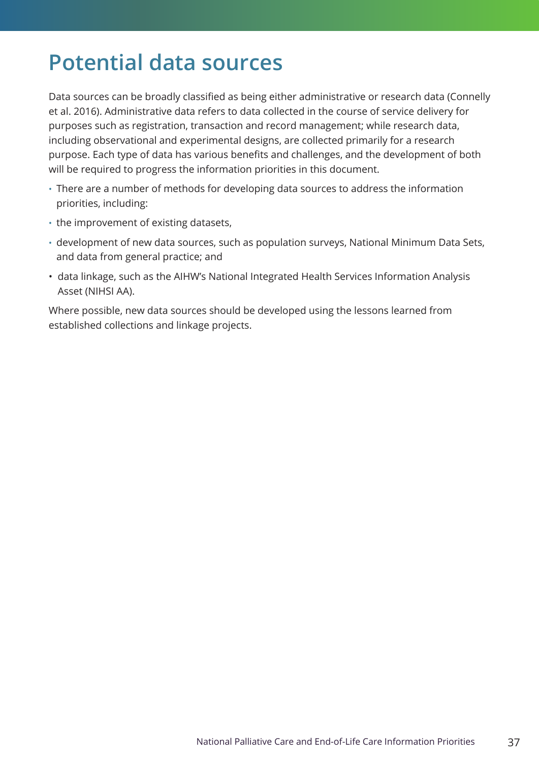### <span id="page-36-0"></span>**Potential data sources**

Data sources can be broadly classified as being either administrative or research data (Connelly et al. 2016). Administrative data refers to data collected in the course of service delivery for purposes such as registration, transaction and record management; while research data, including observational and experimental designs, are collected primarily for a research purpose. Each type of data has various benefits and challenges, and the development of both will be required to progress the information priorities in this document.

- There are a number of methods for developing data sources to address the information priorities, including:
- the improvement of existing datasets,
- development of new data sources, such as population surveys, National Minimum Data Sets, and data from general practice; and
- data linkage, such as the AIHW's National Integrated Health Services Information Analysis Asset (NIHSI AA).

Where possible, new data sources should be developed using the lessons learned from established collections and linkage projects.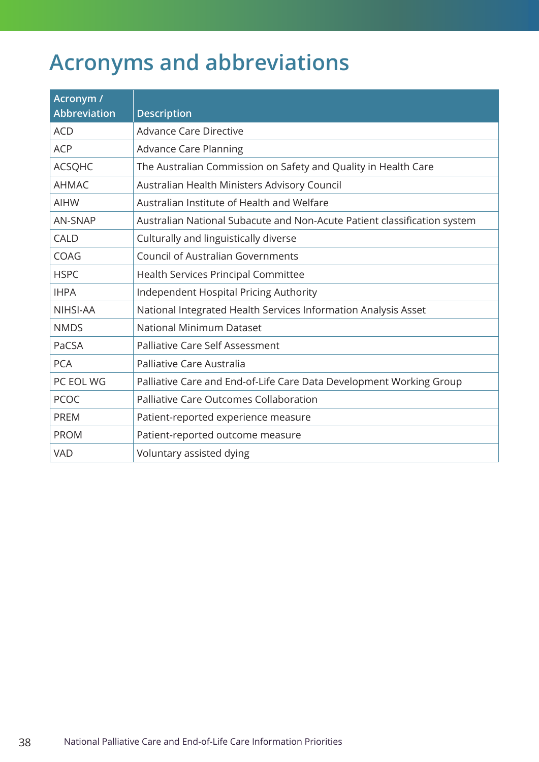### <span id="page-37-0"></span>**Acronyms and abbreviations**

| Acronym /<br><b>Abbreviation</b> | <b>Description</b>                                                       |
|----------------------------------|--------------------------------------------------------------------------|
| <b>ACD</b>                       | Advance Care Directive                                                   |
| <b>ACP</b>                       | <b>Advance Care Planning</b>                                             |
| <b>ACSQHC</b>                    | The Australian Commission on Safety and Quality in Health Care           |
| <b>AHMAC</b>                     | Australian Health Ministers Advisory Council                             |
| <b>AIHW</b>                      | Australian Institute of Health and Welfare                               |
| <b>AN-SNAP</b>                   | Australian National Subacute and Non-Acute Patient classification system |
| <b>CALD</b>                      | Culturally and linguistically diverse                                    |
| <b>COAG</b>                      | <b>Council of Australian Governments</b>                                 |
| <b>HSPC</b>                      | <b>Health Services Principal Committee</b>                               |
| <b>IHPA</b>                      | Independent Hospital Pricing Authority                                   |
| NIHSI-AA                         | National Integrated Health Services Information Analysis Asset           |
| <b>NMDS</b>                      | National Minimum Dataset                                                 |
| PaCSA                            | <b>Palliative Care Self Assessment</b>                                   |
| <b>PCA</b>                       | Palliative Care Australia                                                |
| PC EOL WG                        | Palliative Care and End-of-Life Care Data Development Working Group      |
| <b>PCOC</b>                      | <b>Palliative Care Outcomes Collaboration</b>                            |
| <b>PREM</b>                      | Patient-reported experience measure                                      |
| <b>PROM</b>                      | Patient-reported outcome measure                                         |
| <b>VAD</b>                       | Voluntary assisted dying                                                 |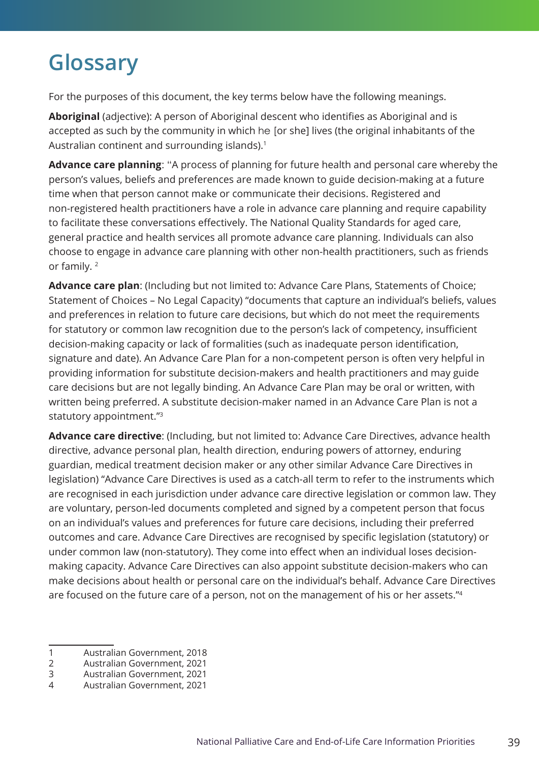### <span id="page-38-0"></span>**Glossary**

For the purposes of this document, the key terms below have the following meanings.

**Aboriginal** (adjective): A person of Aboriginal descent who identifies as Aboriginal and is accepted as such by the community in which he [or she] lives (the original inhabitants of the Australian continent and surrounding islands).<sup>1</sup>

**Advance care planning**: "A process of planning for future health and personal care whereby the person's values, beliefs and preferences are made known to guide decision-making at a future time when that person cannot make or communicate their decisions. Registered and non-registered health practitioners have a role in advance care planning and require capability to facilitate these conversations effectively. The National Quality Standards for aged care, general practice and health services all promote advance care planning. Individuals can also choose to engage in advance care planning with other non-health practitioners, such as friends or family. 2

**Advance care plan**: (Including but not limited to: Advance Care Plans, Statements of Choice; Statement of Choices – No Legal Capacity) "documents that capture an individual's beliefs, values and preferences in relation to future care decisions, but which do not meet the requirements for statutory or common law recognition due to the person's lack of competency, insufficient decision-making capacity or lack of formalities (such as inadequate person identification, signature and date). An Advance Care Plan for a non-competent person is often very helpful in providing information for substitute decision-makers and health practitioners and may guide care decisions but are not legally binding. An Advance Care Plan may be oral or written, with written being preferred. A substitute decision-maker named in an Advance Care Plan is not a statutory appointment."3

**Advance care directive**: (Including, but not limited to: Advance Care Directives, advance health directive, advance personal plan, health direction, enduring powers of attorney, enduring guardian, medical treatment decision maker or any other similar Advance Care Directives in legislation) "Advance Care Directives is used as a catch-all term to refer to the instruments which are recognised in each jurisdiction under advance care directive legislation or common law. They are voluntary, person-led documents completed and signed by a competent person that focus on an individual's values and preferences for future care decisions, including their preferred outcomes and care. Advance Care Directives are recognised by specific legislation (statutory) or under common law (non-statutory). They come into effect when an individual loses decisionmaking capacity. Advance Care Directives can also appoint substitute decision-makers who can make decisions about health or personal care on the individual's behalf. Advance Care Directives are focused on the future care of a person, not on the management of his or her assets."4

<sup>1</sup> Australian Government, 2018

<sup>2</sup> Australian Government, 2021

<sup>3</sup> Australian Government, 2021

<sup>4</sup> Australian Government, 2021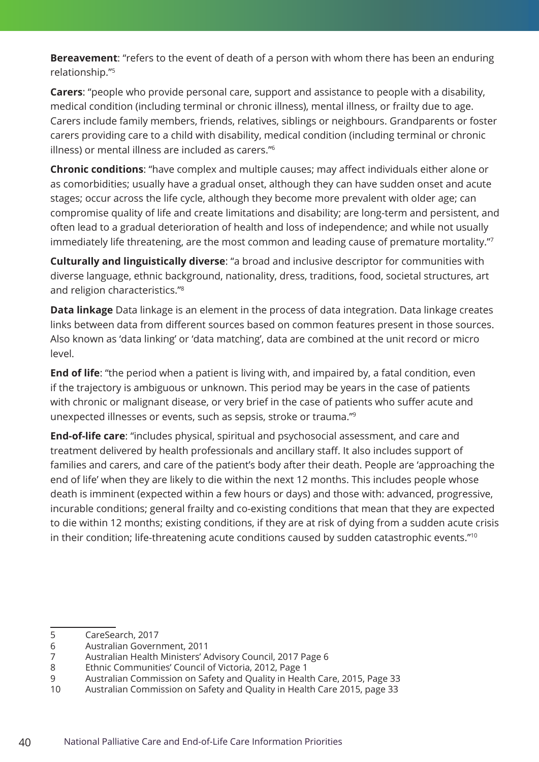**Bereavement**: "refers to the event of death of a person with whom there has been an enduring relationship."5

**Carers**: "people who provide personal care, support and assistance to people with a disability, medical condition (including terminal or chronic illness), mental illness, or frailty due to age. Carers include family members, friends, relatives, siblings or neighbours. Grandparents or foster carers providing care to a child with disability, medical condition (including terminal or chronic illness) or mental illness are included as carers."6

**Chronic conditions**: "have complex and multiple causes; may affect individuals either alone or as comorbidities; usually have a gradual onset, although they can have sudden onset and acute stages; occur across the life cycle, although they become more prevalent with older age; can compromise quality of life and create limitations and disability; are long-term and persistent, and often lead to a gradual deterioration of health and loss of independence; and while not usually immediately life threatening, are the most common and leading cause of premature mortality."

**Culturally and linguistically diverse**: "a broad and inclusive descriptor for communities with diverse language, ethnic background, nationality, dress, traditions, food, societal structures, art and religion characteristics."8

**Data linkage** Data linkage is an element in the process of data integration. Data linkage creates links between data from different sources based on common features present in those sources. Also known as 'data linking' or 'data matching', data are combined at the unit record or micro level.

**End of life**: "the period when a patient is living with, and impaired by, a fatal condition, even if the trajectory is ambiguous or unknown. This period may be years in the case of patients with chronic or malignant disease, or very brief in the case of patients who suffer acute and unexpected illnesses or events, such as sepsis, stroke or trauma."9

**End-of-life care**: "includes physical, spiritual and psychosocial assessment, and care and treatment delivered by health professionals and ancillary staff. It also includes support of families and carers, and care of the patient's body after their death. People are 'approaching the end of life' when they are likely to die within the next 12 months. This includes people whose death is imminent (expected within a few hours or days) and those with: advanced, progressive, incurable conditions; general frailty and co-existing conditions that mean that they are expected to die within 12 months; existing conditions, if they are at risk of dying from a sudden acute crisis in their condition; life-threatening acute conditions caused by sudden catastrophic events."<sup>10</sup>

<sup>5</sup> CareSearch, 2017

<sup>6</sup> Australian Government, 2011

<sup>7</sup> Australian Health Ministers' Advisory Council, 2017 Page 6

<sup>8</sup> Ethnic Communities' Council of Victoria, 2012, Page 1

<sup>9</sup> Australian Commission on Safety and Quality in Health Care, 2015, Page 33

<sup>10</sup> Australian Commission on Safety and Quality in Health Care 2015, page 33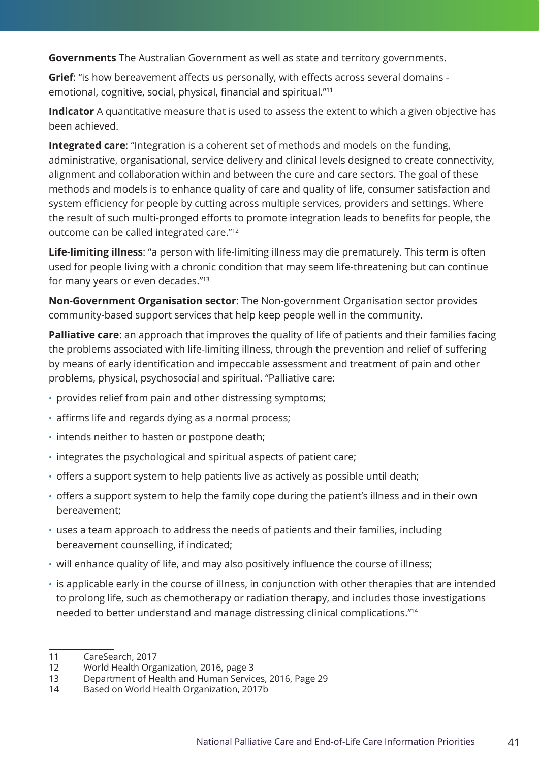**Governments** The Australian Government as well as state and territory governments.

**Grief**: "is how bereavement affects us personally, with effects across several domains emotional, cognitive, social, physical, financial and spiritual."<sup>11</sup>

**Indicator** A quantitative measure that is used to assess the extent to which a given objective has been achieved.

**Integrated care**: "Integration is a coherent set of methods and models on the funding, administrative, organisational, service delivery and clinical levels designed to create connectivity, alignment and collaboration within and between the cure and care sectors. The goal of these methods and models is to enhance quality of care and quality of life, consumer satisfaction and system efficiency for people by cutting across multiple services, providers and settings. Where the result of such multi-pronged efforts to promote integration leads to benefits for people, the outcome can be called integrated care."12

**Life-limiting illness**: "a person with life-limiting illness may die prematurely. This term is often used for people living with a chronic condition that may seem life-threatening but can continue for many years or even decades."13

**Non-Government Organisation sector**: The Non-government Organisation sector provides community-based support services that help keep people well in the community.

**Palliative care**: an approach that improves the quality of life of patients and their families facing the problems associated with life-limiting illness, through the prevention and relief of suffering by means of early identification and impeccable assessment and treatment of pain and other problems, physical, psychosocial and spiritual. "Palliative care:

- provides relief from pain and other distressing symptoms;
- affirms life and regards dying as a normal process;
- intends neither to hasten or postpone death;
- integrates the psychological and spiritual aspects of patient care;
- offers a support system to help patients live as actively as possible until death;
- offers a support system to help the family cope during the patient's illness and in their own bereavement;
- uses a team approach to address the needs of patients and their families, including bereavement counselling, if indicated;
- will enhance quality of life, and may also positively influence the course of illness;
- is applicable early in the course of illness, in conjunction with other therapies that are intended to prolong life, such as chemotherapy or radiation therapy, and includes those investigations needed to better understand and manage distressing clinical complications."14

<sup>11</sup> CareSearch, 2017

<sup>12</sup> World Health Organization, 2016, page 3

<sup>13</sup> Department of Health and Human Services, 2016, Page 29

<sup>14</sup> Based on World Health Organization, 2017b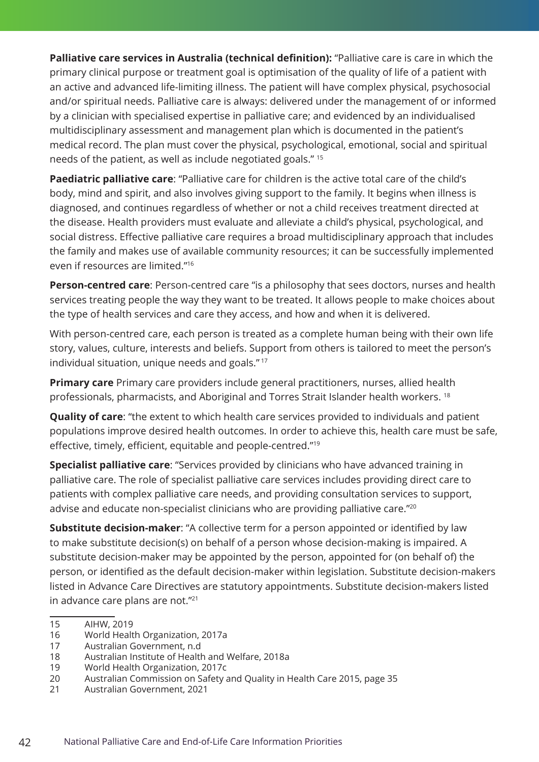**Palliative care services in Australia (technical definition):** "Palliative care is care in which the primary clinical purpose or treatment goal is optimisation of the quality of life of a patient with an active and advanced life-limiting illness. The patient will have complex physical, psychosocial and/or spiritual needs. Palliative care is always: delivered under the management of or informed by a clinician with specialised expertise in palliative care; and evidenced by an individualised multidisciplinary assessment and management plan which is documented in the patient's medical record. The plan must cover the physical, psychological, emotional, social and spiritual needs of the patient, as well as include negotiated goals." 15

**Paediatric palliative care**: "Palliative care for children is the active total care of the child's body, mind and spirit, and also involves giving support to the family. It begins when illness is diagnosed, and continues regardless of whether or not a child receives treatment directed at the disease. Health providers must evaluate and alleviate a child's physical, psychological, and social distress. Effective palliative care requires a broad multidisciplinary approach that includes the family and makes use of available community resources; it can be successfully implemented even if resources are limited."16

**Person-centred care**: Person-centred care "is a philosophy that sees doctors, nurses and health services treating people the way they want to be treated. It allows people to make choices about the type of health services and care they access, and how and when it is delivered.

With person-centred care, each person is treated as a complete human being with their own life story, values, culture, interests and beliefs. Support from others is tailored to meet the person's individual situation, unique needs and goals." <sup>17</sup>

**Primary care** Primary care providers include general practitioners, nurses, allied health professionals, pharmacists, and Aboriginal and Torres Strait Islander health workers. 18

**Quality of care**: "the extent to which health care services provided to individuals and patient populations improve desired health outcomes. In order to achieve this, health care must be safe, effective, timely, efficient, equitable and people-centred."<sup>19</sup>

**Specialist palliative care:** "Services provided by clinicians who have advanced training in palliative care. The role of specialist palliative care services includes providing direct care to patients with complex palliative care needs, and providing consultation services to support, advise and educate non-specialist clinicians who are providing palliative care."20

**Substitute decision-maker:** "A collective term for a person appointed or identified by law to make substitute decision(s) on behalf of a person whose decision-making is impaired. A substitute decision-maker may be appointed by the person, appointed for (on behalf of) the person, or identified as the default decision-maker within legislation. Substitute decision-makers listed in Advance Care Directives are statutory appointments. Substitute decision-makers listed in advance care plans are not."21

<sup>15</sup> AIHW, 2019

<sup>16</sup> World Health Organization, 2017a

<sup>17</sup> Australian Government, n.d

<sup>18</sup> Australian Institute of Health and Welfare, 2018a

<sup>19</sup> World Health Organization, 2017c

<sup>20</sup> Australian Commission on Safety and Quality in Health Care 2015, page 35

<sup>21</sup> Australian Government, 2021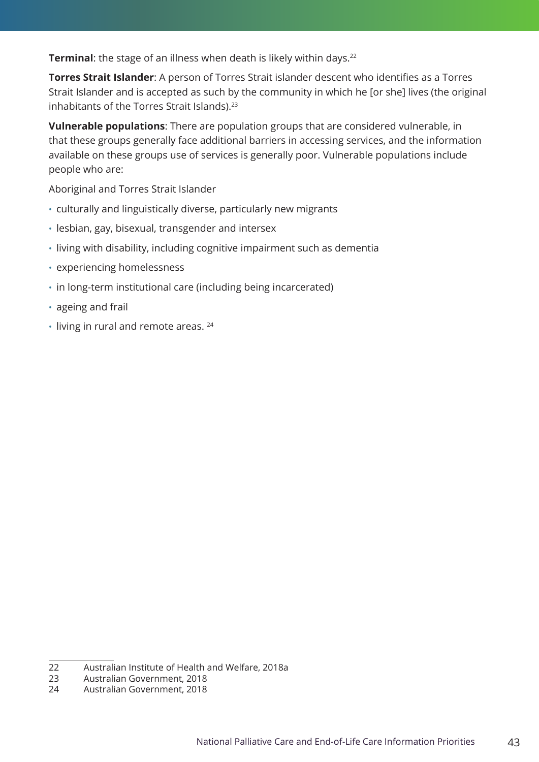**Terminal:** the stage of an illness when death is likely within days.<sup>22</sup>

**Torres Strait Islander**: A person of Torres Strait islander descent who identifies as a Torres Strait Islander and is accepted as such by the community in which he [or she] lives (the original inhabitants of the Torres Strait Islands).<sup>23</sup>

**Vulnerable populations**: There are population groups that are considered vulnerable, in that these groups generally face additional barriers in accessing services, and the information available on these groups use of services is generally poor. Vulnerable populations include people who are:

Aboriginal and Torres Strait Islander

- culturally and linguistically diverse, particularly new migrants
- lesbian, gay, bisexual, transgender and intersex
- living with disability, including cognitive impairment such as dementia
- experiencing homelessness
- in long-term institutional care (including being incarcerated)
- ageing and frail
- $\cdot$  living in rural and remote areas.  $24$

<sup>22</sup> Australian Institute of Health and Welfare, 2018a

<sup>23</sup> Australian Government, 2018

<sup>24</sup> Australian Government, 2018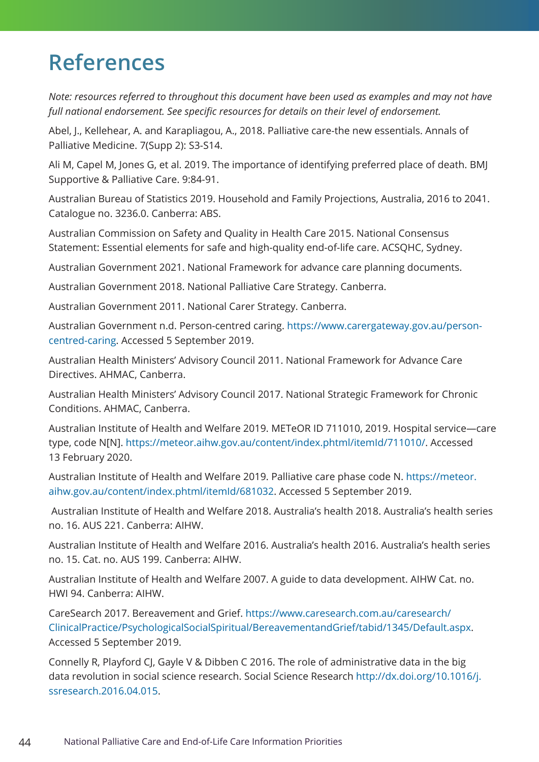### <span id="page-43-0"></span>**References**

*Note: resources referred to throughout this document have been used as examples and may not have full national endorsement. See specific resources for details on their level of endorsement.* 

Abel, J., Kellehear, A. and Karapliagou, A., 2018. Palliative care-the new essentials. Annals of Palliative Medicine. 7(Supp 2): S3-S14.

Ali M, Capel M, Jones G, et al. 2019. The importance of identifying preferred place of death. BMJ Supportive & Palliative Care. 9:84-91.

Australian Bureau of Statistics 2019. Household and Family Projections, Australia, 2016 to 2041. Catalogue no. 3236.0. Canberra: ABS.

Australian Commission on Safety and Quality in Health Care 2015. National Consensus Statement: Essential elements for safe and high-quality end-of-life care. ACSQHC, Sydney.

Australian Government 2021. National Framework for advance care planning documents.

Australian Government 2018. National Palliative Care Strategy. Canberra.

Australian Government 2011. National Carer Strategy. Canberra.

Australian Government n.d. Person-centred caring. [https://www.carergateway.gov.au/person](https://www.carergateway.gov.au/person-centred-caring)[centred-caring](https://www.carergateway.gov.au/person-centred-caring). Accessed 5 September 2019.

Australian Health Ministers' Advisory Council 2011. National Framework for Advance Care Directives. AHMAC, Canberra.

Australian Health Ministers' Advisory Council 2017. National Strategic Framework for Chronic Conditions. AHMAC, Canberra.

Australian Institute of Health and Welfare 2019. METeOR ID 711010, 2019. Hospital service—care type, code N[N]. [https://meteor.aihw.gov.au/content/index.phtml/itemId/711010/.](https://meteor.aihw.gov.au/content/index.phtml/itemId/711010/) Accessed 13 February 2020.

Australian Institute of Health and Welfare 2019. Palliative care phase code N. [https://meteor.](https://meteor.aihw.gov.au/content/index.phtml/itemId/681032) [aihw.gov.au/content/index.phtml/itemId/681032.](https://meteor.aihw.gov.au/content/index.phtml/itemId/681032) Accessed 5 September 2019.

 Australian Institute of Health and Welfare 2018. Australia's health 2018. Australia's health series no. 16. AUS 221. Canberra: AIHW.

Australian Institute of Health and Welfare 2016. Australia's health 2016. Australia's health series no. 15. Cat. no. AUS 199. Canberra: AIHW.

Australian Institute of Health and Welfare 2007. A guide to data development. AIHW Cat. no. HWI 94. Canberra: AIHW.

CareSearch 2017. Bereavement and Grief. [https://www.caresearch.com.au/caresearch/](https://www.caresearch.com.au/caresearch/ClinicalPractice/PsychologicalSocialSpiritual/BereavementandGrief/tabid/1345/Default.aspx) [ClinicalPractice/PsychologicalSocialSpiritual/BereavementandGrief/tabid/1345/Default.aspx](https://www.caresearch.com.au/caresearch/ClinicalPractice/PsychologicalSocialSpiritual/BereavementandGrief/tabid/1345/Default.aspx). Accessed 5 September 2019.

Connelly R, Playford CJ, Gayle V & Dibben C 2016. The role of administrative data in the big data revolution in social science research. Social Science Research [http://dx.doi.org/10.1016/j.](http://dx.doi.org/10.1016/j.ssresearch.2016.04.015) [ssresearch.2016.04.015](http://dx.doi.org/10.1016/j.ssresearch.2016.04.015).